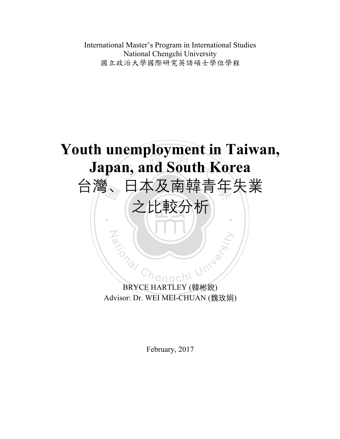International Master's Program in International Studies National Chengchi University 國立政治大學國際研究英語碩士學位學程



BRYCE HARTLEY (韓彬銳) Advisor: Dr. WEI MEI-CHUAN (魏玫娟)

February, 2017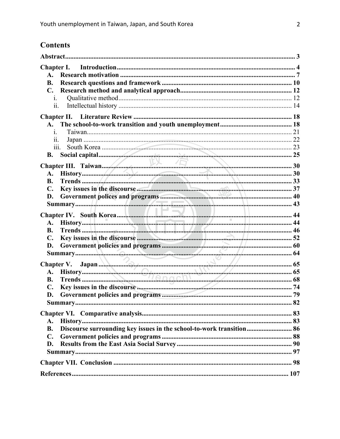# **Contents**

| Chapter I.                                                                        |     |
|-----------------------------------------------------------------------------------|-----|
| $\mathbf{A}$ .                                                                    |     |
| <b>B.</b>                                                                         |     |
| $\mathbf{C}$ .                                                                    |     |
| 1.                                                                                |     |
| 11.                                                                               |     |
|                                                                                   |     |
| <b>A.</b>                                                                         |     |
| $\mathbf{1}$ .                                                                    |     |
| 11.                                                                               |     |
| 111.                                                                              |     |
| <b>B.</b>                                                                         |     |
|                                                                                   |     |
|                                                                                   |     |
| <b>B.</b>                                                                         |     |
| C.                                                                                |     |
| D.                                                                                |     |
|                                                                                   |     |
|                                                                                   |     |
|                                                                                   |     |
| <b>B.</b>                                                                         |     |
|                                                                                   |     |
|                                                                                   |     |
|                                                                                   |     |
| er V. Japan (5)<br>History (65)<br>Trends (65)                                    |     |
| Chapter V.                                                                        |     |
| A.                                                                                |     |
| <b>B.</b><br>$\mathbf{C}$ .                                                       |     |
| D.                                                                                |     |
| Summary.                                                                          | .82 |
|                                                                                   |     |
|                                                                                   |     |
| A.                                                                                |     |
| Discourse surrounding key issues in the school-to-work transition 86<br><b>B.</b> |     |
| C.                                                                                |     |
| D.                                                                                |     |
|                                                                                   |     |
|                                                                                   |     |
|                                                                                   |     |
|                                                                                   |     |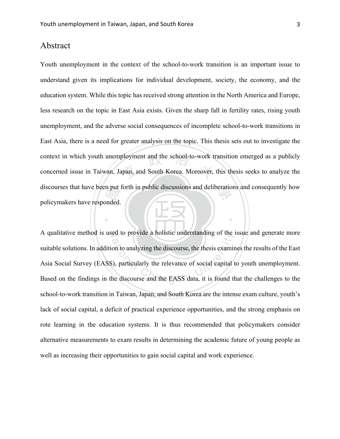# Abstract

 國 context in which youth unemployment and the school-to-work transition emerged as a publicly concerned issue in Taiwan, Japan, and South Korea. Moreover, this thesis seeks to analyze the discourses that have been put forth in public discussions and deliberations and consequently how Youth unemployment in the context of the school-to-work transition is an important issue to understand given its implications for individual development, society, the economy, and the education system. While this topic has received strong attention in the North America and Europe, less research on the topic in East Asia exists. Given the sharp fall in fertility rates, rising youth unemployment, and the adverse social consequences of incomplete school-to-work transitions in East Asia, there is a need for greater analysis on the topic. This thesis sets out to investigate the concerned issue in Taiwan, Japan, and South Korea. Moreover, this thesis seeks to analyze the policymakers have responded.

N A qualitative method is used to provide a holistic understanding of the issue and generate more ed to provide a holistic understanding of the is<br>on to analyzing the discourse, the thesis examines<br>(a), particularly the relevance of social capital the discourse and the EASS data, it is found the suitable solutions. In addition to analyzing the discourse, the thesis examines the results of the East Asia Social Survey (EASS), particularly the relevance of social capital to youth unemployment. Based on the findings in the discourse and the EASS data, it is found that the challenges to the school-to-work transition in Taiwan, Japan, and South Korea are the intense exam culture, youth's lack of social capital, a deficit of practical experience opportunities, and the strong emphasis on rote learning in the education systems. It is thus recommended that policymakers consider alternative measurements to exam results in determining the academic future of young people as well as increasing their opportunities to gain social capital and work experience.

‧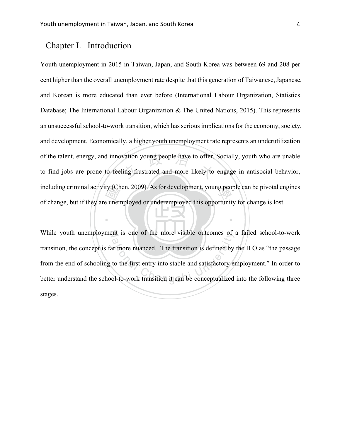# Chapter I. Introduction

ty (Ch<br>e unen vation young people have to offer.<br>ling frustrated and more likely to including criminal activity (Chen, 2009). As for development, young people can be pivotal engines Youth unemployment in 2015 in Taiwan, Japan, and South Korea was between 69 and 208 per cent higher than the overall unemployment rate despite that this generation of Taiwanese, Japanese, and Korean is more educated than ever before (International Labour Organization, Statistics Database; The International Labour Organization & The United Nations, 2015). This represents an unsuccessful school-to-work transition, which has serious implications for the economy, society, and development. Economically, a higher youth unemployment rate represents an underutilization of the talent, energy, and innovation young people have to offer. Socially, youth who are unable to find jobs are prone to feeling frustrated and more likely to engage in antisocial behavior, of change, but if they are unemployed or underemployed this opportunity for change is lost.

N While youth unemployment is one of the more visible outcomes of a failed school-to-work at is one of the more visible outcomes of<br>a contract the more visible outcomes of<br>a contract the first entry into stable and satisfactory enterpretently<br>col-to-work transition it can be conceptualized transition, the concept is far more nuanced. The transition is defined by the ILO as "the passage from the end of schooling to the first entry into stable and satisfactory employment." In order to better understand the school-to-work transition it can be conceptualized into the following three stages.

‧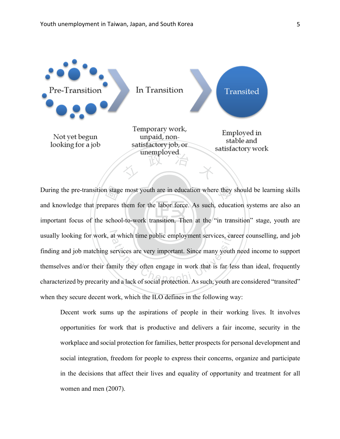

important focus of the school-to-work transition. Then at the "in transition" stage, youth are n stage<br>pares<br>schoo During the pre-transition stage most youth are in education where they should be learning skills usually looking for work, at which time public employment services, career counselling, and job at which time public employment services, car<br>
services are very important. Since many youth<br>
mily they often engage in work that is far les<br>
and a lack of social protection. As such, youth as and knowledge that prepares them for the labor force. As such, education systems are also an finding and job matching services are very important. Since many youth need income to support themselves and/or their family they often engage in work that is far less than ideal, frequently characterized by precarity and a lack of social protection. As such, youth are considered "transited" when they secure decent work, which the ILO defines in the following way:

Decent work sums up the aspirations of people in their working lives. It involves opportunities for work that is productive and delivers a fair income, security in the workplace and social protection for families, better prospects for personal development and social integration, freedom for people to express their concerns, organize and participate in the decisions that affect their lives and equality of opportunity and treatment for all women and men (2007).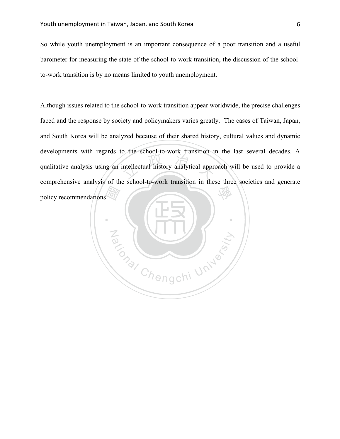So while youth unemployment is an important consequence of a poor transition and a useful barometer for measuring the state of the school-to-work transition, the discussion of the schoolto-work transition is by no means limited to youth unemployment.

intellectual history analytical approximately 學 Although issues related to the school-to-work transition appear worldwide, the precise challenges faced and the response by society and policymakers varies greatly. The cases of Taiwan, Japan, and South Korea will be analyzed because of their shared history, cultural values and dynamic developments with regards to the school-to-work transition in the last several decades. A qualitative analysis using an intellectual history analytical approach will be used to provide a comprehensive analysis of the school-to-work transition in these three societies and generate policy recommendations.

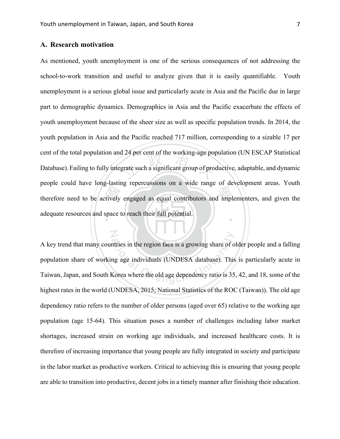N

# **A. Research motivation**

therefore need to be actively engaged as equal contributors and implementers, and given the adequate resources and space to reach their full potential. 24 per cent of the working-age pop ‧ As mentioned, youth unemployment is one of the serious consequences of not addressing the school-to-work transition and useful to analyze given that it is easily quantifiable. Youth unemployment is a serious global issue and particularly acute in Asia and the Pacific due in large part to demographic dynamics. Demographics in Asia and the Pacific exacerbate the effects of youth unemployment because of the sheer size as well as specific population trends. In 2014, the youth population in Asia and the Pacific reached 717 million, corresponding to a sizable 17 per cent of the total population and 24 per cent of the working-age population (UN ESCAP Statistical Database).Failing to fully integrate such a significant group of productive, adaptable, and dynamic people could have long-lasting repercussions on a wide range of development areas. Youth adequate resources and space to reach their full potential.

atries in the region face is a growing share of or<br>the same and individuals (UNDESA database). This<br>Sorea where the old age dependency ratio is 35 A key trend that many countries in the region face is a growing share of older people and a falling population share of working age individuals (UNDESA database). This is particularly acute in Taiwan, Japan, and South Korea where the old age dependency ratio is 35, 42, and 18, some of the highest rates in the world (UNDESA, 2015; National Statistics of the ROC (Taiwan)). The old age dependency ratio refers to the number of older persons (aged over 65) relative to the working age population (age 15-64). This situation poses a number of challenges including labor market shortages, increased strain on working age individuals, and increased healthcare costs. It is therefore of increasing importance that young people are fully integrated in society and participate in the labor market as productive workers. Critical to achieving this is ensuring that young people are able to transition into productive, decent jobs in a timely manner after finishing their education.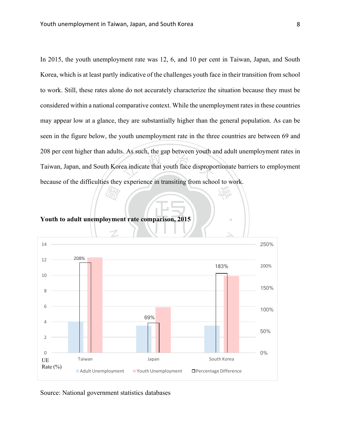expression, the gap between youth a 學 In 2015, the youth unemployment rate was 12, 6, and 10 per cent in Taiwan, Japan, and South Korea, which is at least partly indicative of the challenges youth face in their transition from school to work. Still, these rates alone do not accurately characterize the situation because they must be considered within a national comparative context. While the unemployment rates in these countries may appear low at a glance, they are substantially higher than the general population. As can be seen in the figure below, the youth unemployment rate in the three countries are between 69 and 208 per cent higher than adults. As such, the gap between youth and adult unemployment rates in Taiwan, Japan, and South Korea indicate that youth face disproportionate barriers to employment because of the difficulties they experience in transiting from school to work.

‧

‧國 **Youth to adult unemployment rate comparison, 2015**



Source: National government statistics databases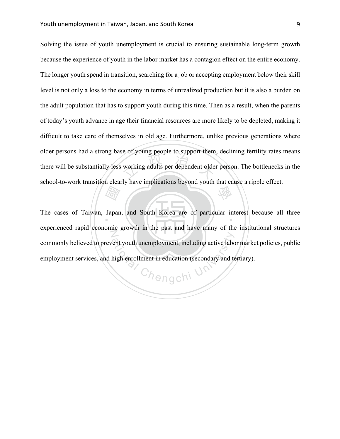working adults per dependent olde 學 Solving the issue of youth unemployment is crucial to ensuring sustainable long-term growth because the experience of youth in the labor market has a contagion effect on the entire economy. The longer youth spend in transition, searching for a job or accepting employment below their skill level is not only a loss to the economy in terms of unrealized production but it is also a burden on the adult population that has to support youth during this time. Then as a result, when the parents of today's youth advance in age their financial resources are more likely to be depleted, making it difficult to take care of themselves in old age. Furthermore, unlike previous generations where older persons had a strong base of young people to support them, declining fertility rates means there will be substantially less working adults per dependent older person. The bottlenecks in the school-to-work transition clearly have implications beyond youth that cause a ripple effect.

**Address**<br>Japan The cases of Taiwan, Japan, and South Korea are of particular interest because all three N experienced rapid economic growth in the past and have many of the institutional structures commonly believed to prevent youth unemployment, including active labor market policies, public employment services, and high enrollment in education (secondary and tertiary).

Chengchi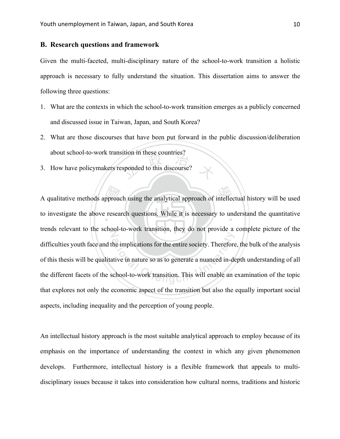### **B. Research questions and framework**

Given the multi-faceted, multi-disciplinary nature of the school-to-work transition a holistic approach is necessary to fully understand the situation. This dissertation aims to answer the following three questions:

- 1. What are the contexts in which the school-to-work transition emerges as a publicly concerned and discussed issue in Taiwan, Japan, and South Korea?
- 2. What are those discourses that have been put forward in the public discussion/deliberation about school-to-work transition in these countries?
- sponded to this discourse? 3. How have policymakers responded to this discourse?

A qualitative methods approach using the analytical approach of intellectual history will be used<br>to investigate the above research questions. While it is necessary to understand the quantitative to investigate the above research questions. While it is necessary to understand the quantitative trends relevant to the school-to-work transition, they do not provide a complete picture of the The implications for the entire society. Therefore<br>ative in nature so as to generate a nuanced in-de<br>chool-to-work transition. This will enable an difficulties youth face and the implications for the entire society. Therefore, the bulk of the analysis of this thesis will be qualitative in nature so as to generate a nuanced in-depth understanding of all the different facets of the school-to-work transition. This will enable an examination of the topic that explores not only the economic aspect of the transition but also the equally important social aspects, including inequality and the perception of young people.

An intellectual history approach is the most suitable analytical approach to employ because of its emphasis on the importance of understanding the context in which any given phenomenon develops. Furthermore, intellectual history is a flexible framework that appeals to multidisciplinary issues because it takes into consideration how cultural norms, traditions and historic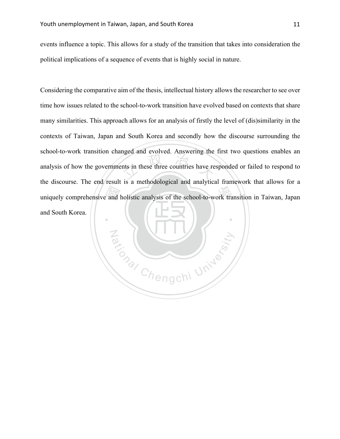events influence a topic. This allows for a study of the transition that takes into consideration the political implications of a sequence of events that is highly social in nature.

uniquely comprehensive and holistic analysis of the school-to-work transition in Taiwan, Japan<br>and South Korea. the state of the countries have re Considering the comparative aim of the thesis, intellectual history allows the researcher to see over time how issues related to the school-to-work transition have evolved based on contexts that share many similarities. This approach allows for an analysis of firstly the level of (dis)similarity in the contexts of Taiwan, Japan and South Korea and secondly how the discourse surrounding the school-to-work transition changed and evolved. Answering the first two questions enables an analysis of how the governments in these three countries have responded or failed to respond to the discourse. The end result is a methodological and analytical framework that allows for a and South Korea.

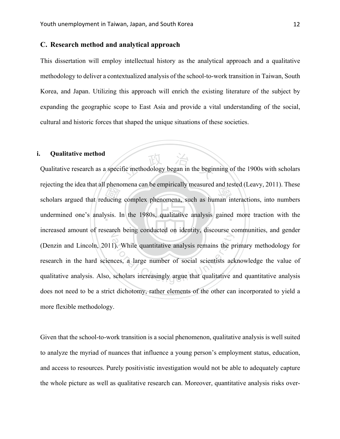## **C. Research method and analytical approach**

This dissertation will employ intellectual history as the analytical approach and a qualitative methodology to deliver a contextualized analysis of the school-to-work transition in Taiwan, South Korea, and Japan. Utilizing this approach will enrich the existing literature of the subject by expanding the geographic scope to East Asia and provide a vital understanding of the social, cultural and historic forces that shaped the unique situations of these societies.

# **i. Qualitative method**

scholars argued that reducing complex phenomena, such as human interactions, into numbers undermined one's analysis. In the 1980s, qualitative analysis gained more traction with the fic methodology began in the begin undermined one's analysis. In the 1980s, qualitative analysis gained more traction with the increased amount of research being conducted on identity, discourse communities, and gender 1). While quantitative analysis remains the process, a large number of social scientists ackers scholars increasingly argue that qualitative a Qualitative research as a specific methodology began in the beginning of the 1900s with scholars rejecting the idea that all phenomena can be empirically measured and tested (Leavy, 2011). These (Denzin and Lincoln, 2011). While quantitative analysis remains the primary methodology for research in the hard sciences, a large number of social scientists acknowledge the value of qualitative analysis. Also, scholars increasingly argue that qualitative and quantitative analysis does not need to be a strict dichotomy, rather elements of the other can incorporated to yield a more flexible methodology.

Given that the school-to-work transition is a social phenomenon, qualitative analysis is well suited to analyze the myriad of nuances that influence a young person's employment status, education, and access to resources. Purely positivistic investigation would not be able to adequately capture the whole picture as well as qualitative research can. Moreover, quantitative analysis risks over-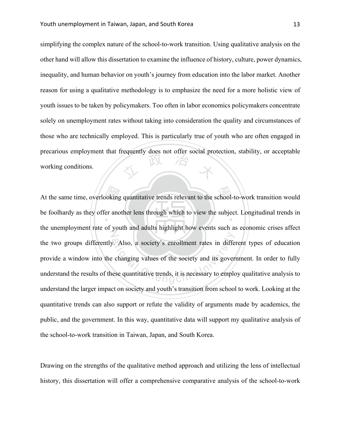$\frac{1}{100}$ simplifying the complex nature of the school-to-work transition. Using qualitative analysis on the other hand will allow this dissertation to examine the influence of history, culture, power dynamics, inequality, and human behavior on youth's journey from education into the labor market. Another reason for using a qualitative methodology is to emphasize the need for a more holistic view of youth issues to be taken by policymakers. Too often in labor economics policymakers concentrate solely on unemployment rates without taking into consideration the quality and circumstances of those who are technically employed. This is particularly true of youth who are often engaged in precarious employment that frequently does not offer social protection, stability, or acceptable working conditions.

At the same time, overlooking quantitative trends relevant to the school-to-work transition would<br>be foolhardy as they offer another lens through which to view the subject. Longitudinal trends in be foolhardy as they offer another lens through which to view the subject. Longitudinal trends in Z Also, a society's enrollment rates in differentially.<br>
Changing values of the society and its gover<br>
ese quantitative trends, it is necessary to emplo the unemployment rate of youth and adults highlight how events such as economic crises affect the two groups differently. Also, a society's enrollment rates in different types of education provide a window into the changing values of the society and its government. In order to fully understand the results of these quantitative trends, it is necessary to employ qualitative analysis to understand the larger impact on society and youth's transition from school to work. Looking at the quantitative trends can also support or refute the validity of arguments made by academics, the public, and the government. In this way, quantitative data will support my qualitative analysis of the school-to-work transition in Taiwan, Japan, and South Korea.

Drawing on the strengths of the qualitative method approach and utilizing the lens of intellectual history, this dissertation will offer a comprehensive comparative analysis of the school-to-work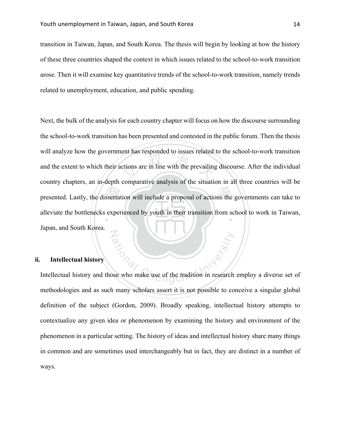transition in Taiwan, Japan, and South Korea. The thesis will begin by looking at how the history of these three countries shaped the context in which issues related to the school-to-work transition arose. Then it will examine key quantitative trends of the school-to-work transition, namely trends related to unemployment, education, and public spending.

presented. Lastly, the dissertation will include a proposal of actions the governments can take to alleviate the bottlenecks experienced by youth in their transition from school to work in Taiwan, ctions are in line with the prevailing alleviate the bottlenecks experienced by youth in their transition from school to work in Taiwan, N Next, the bulk of the analysis for each country chapter will focus on how the discourse surrounding the school-to-work transition has been presented and contested in the public forum. Then the thesis will analyze how the government has responded to issues related to the school-to-work transition and the extent to which their actions are in line with the prevailing discourse. After the individual country chapters, an in-depth comparative analysis of the situation in all three countries will be Japan, and South Korea.

# **ii. Intellectual history**

ation<br>See who make use of the tradition in research Intellectual history and those who make use of the tradition in research employ a diverse set of methodologies and as such many scholars assert it is not possible to conceive a singular global definition of the subject (Gordon, 2009). Broadly speaking, intellectual history attempts to contextualize any given idea or phenomenon by examining the history and environment of the phenomenon in a particular setting. The history of ideas and intellectual history share many things in common and are sometimes used interchangeably but in fact, they are distinct in a number of ways.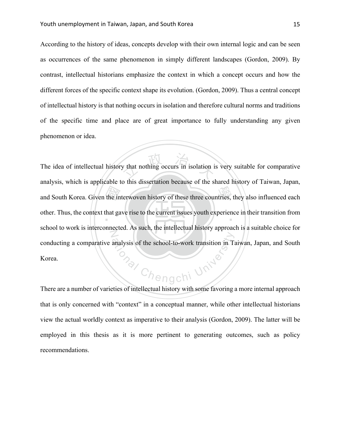According to the history of ideas, concepts develop with their own internal logic and can be seen as occurrences of the same phenomenon in simply different landscapes (Gordon, 2009). By contrast, intellectual historians emphasize the context in which a concept occurs and how the different forces of the specific context shape its evolution. (Gordon, 2009). Thus a central concept of intellectual history is that nothing occurs in isolation and therefore cultural norms and traditions of the specific time and place are of great importance to fully understanding any given phenomenon or idea.

and South Korea. Given the interwoven history of these three countries, they also influenced each other. Thus, the context that gave rise to the current issues youth experience in their transition from y that nothing occurs in isolation i other. Thus, the context that gave rise to the current issues youth experience in their transition from N o<sub>nal</sub> Chengchi University The idea of intellectual history that nothing occurs in isolation is very suitable for comparative analysis, which is applicable to this dissertation because of the shared history of Taiwan, Japan, school to work is interconnected. As such, the intellectual history approach is a suitable choice for conducting a comparative analysis of the school-to-work transition in Taiwan, Japan, and South Korea.

There are a number of varieties of intellectual history with some favoring a more internal approach that is only concerned with "context" in a conceptual manner, while other intellectual historians view the actual worldly context as imperative to their analysis (Gordon, 2009). The latter will be employed in this thesis as it is more pertinent to generating outcomes, such as policy recommendations.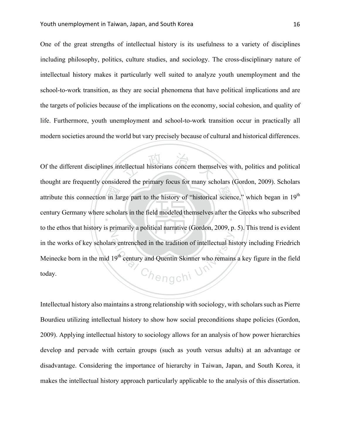One of the great strengths of intellectual history is its usefulness to a variety of disciplines including philosophy, politics, culture studies, and sociology. The cross-disciplinary nature of intellectual history makes it particularly well suited to analyze youth unemployment and the school-to-work transition, as they are social phenomena that have political implications and are the targets of policies because of the implications on the economy, social cohesion, and quality of life. Furthermore, youth unemployment and school-to-work transition occur in practically all modern societies around the world but vary precisely because of cultural and historical differences.

attribute this connection in large part to the history of "historical science," which began in 19<sup>th</sup><br>century Germany where scholars in the field modeled themselves after the Greeks who subscribed ellectual historians concern themse century Germany where scholars in the field modeled themselves after the Greeks who subscribed Z Frame and the tradition of intellectual his sentenched in the tradition of intellectual his sentency and Quentin Skinner who remains Of the different disciplines intellectual historians concern themselves with, politics and political thought are frequently considered the primary focus for many scholars (Gordon, 2009). Scholars to the ethos that history is primarily a political narrative (Gordon, 2009, p. 5). This trend is evident in the works of key scholars entrenched in the tradition of intellectual history including Friedrich Meinecke born in the mid 19<sup>th</sup> century and Quentin Skinner who remains a key figure in the field today.

Intellectual history also maintains a strong relationship with sociology, with scholars such as Pierre Bourdieu utilizing intellectual history to show how social preconditions shape policies (Gordon, 2009). Applying intellectual history to sociology allows for an analysis of how power hierarchies develop and pervade with certain groups (such as youth versus adults) at an advantage or disadvantage. Considering the importance of hierarchy in Taiwan, Japan, and South Korea, it makes the intellectual history approach particularly applicable to the analysis of this dissertation.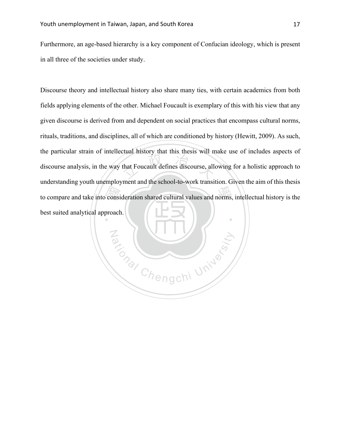Furthermore, an age-based hierarchy is a key component of Confucian ideology, which is present in all three of the societies under study.

to compare and take into consideration shared cultural values and norms, intellectual history is the best suited analytical approach. that Foucault defines discourse, alle Discourse theory and intellectual history also share many ties, with certain academics from both fields applying elements of the other. Michael Foucault is exemplary of this with his view that any given discourse is derived from and dependent on social practices that encompass cultural norms, rituals, traditions, and disciplines, all of which are conditioned by history (Hewitt, 2009). As such, the particular strain of intellectual history that this thesis will make use of includes aspects of discourse analysis, in the way that Foucault defines discourse, allowing for a holistic approach to understanding youth unemployment and the school-to-work transition. Given the aim of this thesis best suited analytical approach.

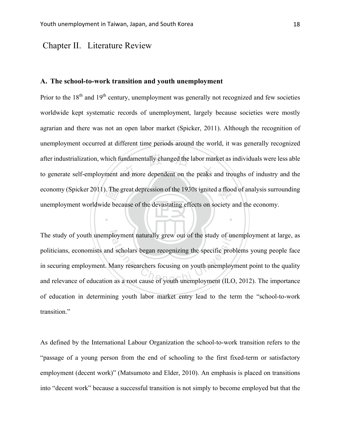# Chapter II. Literature Review

#### **A. The school-to-work transition and youth unemployment**

 $\frac{\pi}{\sqrt{\pi}}$ <br>de bec after industrialization, which fundamentally changed the labor market as individuals were less able<br>to generate self-employment and more dependent on the peaks and troughs of industry and the economy (Spicker 2011). The great depression of the 1930s ignited a flood of analysis surrounding economy (Spicker 2011). Prior to the  $18<sup>th</sup>$  and  $19<sup>th</sup>$  century, unemployment was generally not recognized and few societies worldwide kept systematic records of unemployment, largely because societies were mostly agrarian and there was not an open labor market (Spicker, 2011). Although the recognition of unemployment occurred at different time periods around the world, it was generally recognized after industrialization, which fundamentally changed the labor market as individuals were less able unemployment worldwide because of the devastating effects on society and the economy.

The study of youth unemployment naturally grew out of the study of unemployment at large, as The study of youth unemployment naturally grew out of the study of unemployment at large, as<br>politicians, economists and scholars began recognizing the specific problems young people face<br>in securing employment. Many resea politicians, economists and scholars began recognizing the specific problems young people face in securing employment. Many researchers focusing on youth unemployment point to the quality of education in determining youth labor market entry lead to the term the "school-to-work transition."

‧

As defined by the International Labour Organization the school-to-work transition refers to the "passage of a young person from the end of schooling to the first fixed-term or satisfactory employment (decent work)" (Matsumoto and Elder, 2010). An emphasis is placed on transitions into "decent work" because a successful transition is not simply to become employed but that the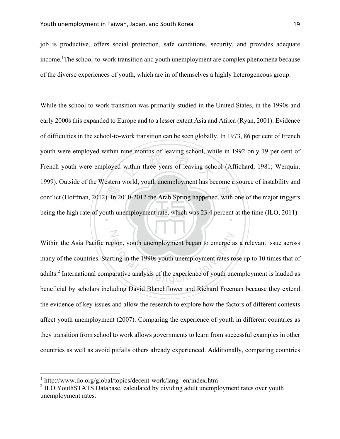N

job is productive, offers social protection, safe conditions, security, and provides adequate income. <sup>1</sup>The school-to-work transition and youth unemployment are complex phenomena because of the diverse experiences of youth, which are in of themselves a highly heterogeneous group.

conflict (Hoffman, 2012). In 2010-2012 the Arab Spring happened, with one of the major triggers<br>being the high rate of youth unemployment rate, which was 23.4 percent at the time (ILO, 2011). within three years of leaving school, we being the high rate of youth unemployment rate, which was 23.4 percent at the time (ILO, 2011). While the school-to-work transition was primarily studied in the United States, in the 1990s and early 2000s this expanded to Europe and to a lesser extent Asia and Africa (Ryan, 2001). Evidence of difficulties in the school-to-work transition can be seen globally. In 1973, 86 per cent of French youth were employed within nine months of leaving school, while in 1992 only 19 per cent of French youth were employed within three years of leaving school (Affichard, 1981; Werquin, 1999). Outside of the Western world, youth unemployment has become a source of instability and

gion, youth unemployment began to emerge a<br>ting in the 1990s youth unemployment rates re<br>arative analysis of the experience of youth une Within the Asia Pacific region, youth unemployment began to emerge as a relevant issue across many of the countries. Starting in the 1990s youth unemployment rates rose up to 10 times that of adults.<sup>2</sup> International comparative analysis of the experience of youth unemployment is lauded as beneficial by scholars including David Blanchflower and Richard Freeman because they extend the evidence of key issues and allow the research to explore how the factors of different contexts affect youth unemployment (2007). Comparing the experience of youth in different countries as they transition from school to work allows governments to learn from successful examples in other countries as well as avoid pitfalls others already experienced. Additionally, comparing countries

 <sup>1</sup> http://www.ilo.org/global/topics/decent-work/lang--en/index.htm

<sup>&</sup>lt;sup>2</sup> ILO YouthSTATS Database, calculated by dividing adult unemployment rates over youth unemployment rates.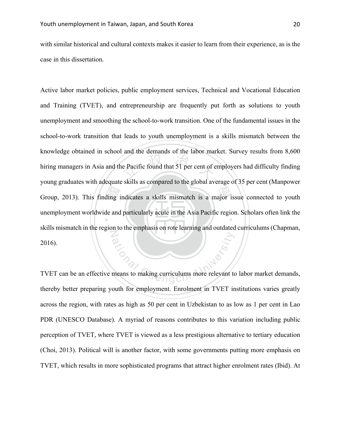with similar historical and cultural contexts makes it easier to learn from their experience, as is the case in this dissertation.

Group, 2013). This finding indicates a skills mismatch is a major issue connected to youth<br>unemployment worldwide and particularly acute in the Asia Pacific region. Scholars often link the  $\frac{1}{2}$  and the definances of the factor mass unemployment worldwide and particularly acute in the Asia Pacific region. Scholars often link the N ation<br>
The means to making curriculums more relevant to<br>
In good when the contract of the contract of the contract of the contract of the contract of the contract of the contract of the contract of the contract of the cont Active labor market policies, public employment services, Technical and Vocational Education and Training (TVET), and entrepreneurship are frequently put forth as solutions to youth unemployment and smoothing the school-to-work transition. One of the fundamental issues in the school-to-work transition that leads to youth unemployment is a skills mismatch between the knowledge obtained in school and the demands of the labor market. Survey results from 8,600 hiring managers in Asia and the Pacific found that 51 per cent of employers had difficulty finding young graduates with adequate skills as compared to the global average of 35 per cent (Manpower skills mismatch in the region to the emphasis on rote learning and outdated curriculums (Chapman, 2016).

TVET can be an effective means to making curriculums more relevant to labor market demands, thereby better preparing youth for employment. Enrolment in TVET institutions varies greatly across the region, with rates as high as 50 per cent in Uzbekistan to as low as 1 per cent in Lao PDR (UNESCO Database). A myriad of reasons contributes to this variation including public perception of TVET, where TVET is viewed as a less prestigious alternative to tertiary education (Choi, 2013). Political will is another factor, with some governments putting more emphasis on TVET, which results in more sophisticated programs that attract higher enrolment rates (Ibid). At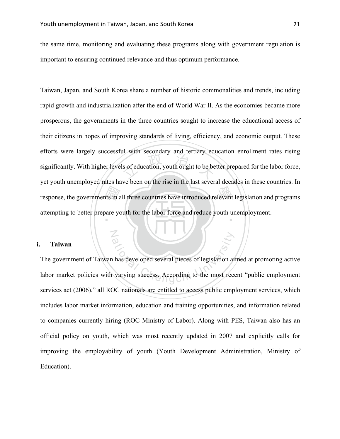N

the same time, monitoring and evaluating these programs along with government regulation is important to ensuring continued relevance and thus optimum performance.

 $\frac{1}{\sin \alpha}$ Is of education, youth ought to be be response, the governments in all three countries have introduced relevant legislation and programs attempting to better prepare youth for the labor force and reduce youth unemployment. Taiwan, Japan, and South Korea share a number of historic commonalities and trends, including rapid growth and industrialization after the end of World War II. As the economies became more prosperous, the governments in the three countries sought to increase the educational access of their citizens in hopes of improving standards of living, efficiency, and economic output. These efforts were largely successful with secondary and tertiary education enrollment rates rising significantly. With higher levels of education, youth ought to be better prepared for the labor force, yet youth unemployed rates have been on the rise in the last several decades in these countries. In

#### **i. Taiwan**

ational pieces of legislation air<br>
varying success. According to the most rece The government of Taiwan has developed several pieces of legislation aimed at promoting active labor market policies with varying success. According to the most recent "public employment services act (2006)," all ROC nationals are entitled to access public employment services, which includes labor market information, education and training opportunities, and information related to companies currently hiring (ROC Ministry of Labor). Along with PES, Taiwan also has an official policy on youth, which was most recently updated in 2007 and explicitly calls for improving the employability of youth (Youth Development Administration, Ministry of Education).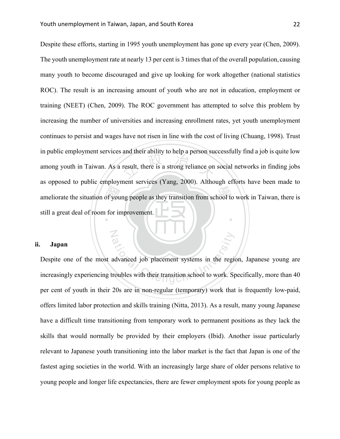N

ameliorate the situation of young people as they transition from school to work in Taiwan, there is still a great deal of room for improvement. result, there is a strong reliance on ‧ Despite these efforts, starting in 1995 youth unemployment has gone up every year (Chen, 2009). The youth unemployment rate at nearly 13 per cent is 3 times that of the overall population, causing many youth to become discouraged and give up looking for work altogether (national statistics ROC). The result is an increasing amount of youth who are not in education, employment or training (NEET) (Chen, 2009). The ROC government has attempted to solve this problem by increasing the number of universities and increasing enrollment rates, yet youth unemployment continues to persist and wages have not risen in line with the cost of living (Chuang, 1998). Trust in public employment services and their ability to help a person successfully find a job is quite low among youth in Taiwan. As a result, there is a strong reliance on social networks in finding jobs as opposed to public employment services (Yang, 2000). Although efforts have been made to still a great deal of room for improvement.

#### **ii. Japan**

advanced job placement systems in the regional chemical chemical Chengchi University of the region of the region of the region of the region of the region of the region of the region of the region of the region of the regi Despite one of the most advanced job placement systems in the region, Japanese young are increasingly experiencing troubles with their transition school to work. Specifically, more than 40 per cent of youth in their 20s are in non-regular (temporary) work that is frequently low-paid, offers limited labor protection and skills training (Nitta, 2013). As a result, many young Japanese have a difficult time transitioning from temporary work to permanent positions as they lack the skills that would normally be provided by their employers (Ibid). Another issue particularly relevant to Japanese youth transitioning into the labor market is the fact that Japan is one of the fastest aging societies in the world. With an increasingly large share of older persons relative to young people and longer life expectancies, there are fewer employment spots for young people as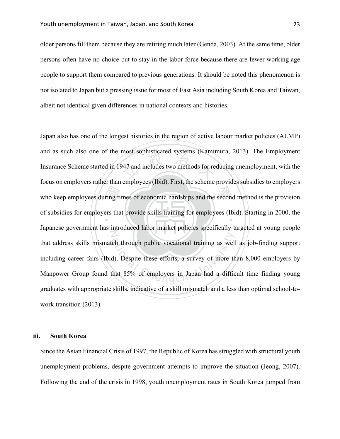older persons fill them because they are retiring much later (Genda, 2003). At the same time, older persons often have no choice but to stay in the labor force because there are fewer working age people to support them compared to previous generations. It should be noted this phenomenon is not isolated to Japan but a pressing issue for most of East Asia including South Korea and Taiwan, albeit not identical given differences in national contexts and histories.

who keep employees during times of economic hardships and the second method is the provision<br>of subsidies for employers that provide skills training for employees (Ibid). Starting in 2000, the 247 and includes two methods for re of subsidies for employers that provide skills training for employees (Ibid). Starting in 2000, the N ch through public vocational training as well<br>d). Despite these efforts, a survey of more that 85% of employers in Japan had a diffic Japan also has one of the longest histories in the region of active labour market policies (ALMP) and as such also one of the most sophisticated systems (Kamimura, 2013). The Employment Insurance Scheme started in 1947 and includes two methods for reducing unemployment, with the focus on employers rather than employees (Ibid). First, the scheme provides subsidies to employers Japanese government has introduced labor market policies specifically targeted at young people that address skills mismatch through public vocational training as well as job-finding support including career fairs (Ibid). Despite these efforts, a survey of more than 8,000 employers by Manpower Group found that 85% of employers in Japan had a difficult time finding young graduates with appropriate skills, indicative of a skill mismatch and a less than optimal school-towork transition (2013).

### **iii. South Korea**

Since the Asian Financial Crisis of 1997, the Republic of Korea has struggled with structural youth unemployment problems, despite government attempts to improve the situation (Jeong, 2007). Following the end of the crisis in 1998, youth unemployment rates in South Korea jumped from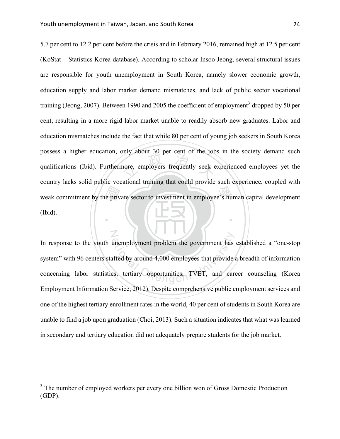N

weak commitment by the private sector to investment in employee's human capital development<br>(Ibid). have about 50 per cent of the job. ‧ 5.7 per cent to 12.2 per cent before the crisis and in February 2016, remained high at 12.5 per cent (KoStat – Statistics Korea database). According to scholar Insoo Jeong, several structural issues are responsible for youth unemployment in South Korea, namely slower economic growth, education supply and labor market demand mismatches, and lack of public sector vocational training (Jeong, 2007). Between 1990 and 2005 the coefficient of employment<sup>3</sup> dropped by 50 per cent, resulting in a more rigid labor market unable to readily absorb new graduates. Labor and education mismatches include the fact that while 80 per cent of young job seekers in South Korea possess a higher education, only about 30 per cent of the jobs in the society demand such qualifications (Ibid). Furthermore, employers frequently seek experienced employees yet the country lacks solid public vocational training that could provide such experience, coupled with (Ibid).

unemployment problem the government has<br>affed by around 4,000 employees that provide<br>ess, tertiary opportunities, TVET, and care In response to the youth unemployment problem the government has established a "one-stop system" with 96 centers staffed by around 4,000 employees that provide a breadth of information concerning labor statistics, tertiary opportunities, TVET, and career counseling (Korea Employment Information Service, 2012). Despite comprehensive public employment services and one of the highest tertiary enrollment rates in the world, 40 per cent of students in South Korea are unable to find a job upon graduation (Choi, 2013). Such a situation indicates that what was learned in secondary and tertiary education did not adequately prepare students for the job market.

<sup>&</sup>lt;sup>3</sup> The number of employed workers per every one billion won of Gross Domestic Production (GDP).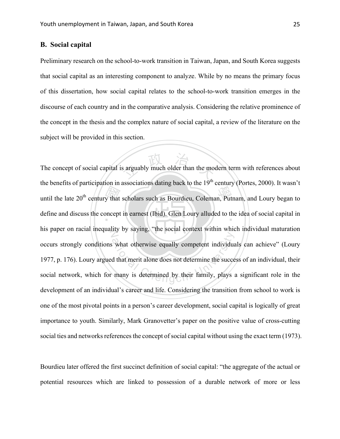# **B. Social capital**

Preliminary research on the school-to-work transition in Taiwan, Japan, and South Korea suggests that social capital as an interesting component to analyze. While by no means the primary focus of this dissertation, how social capital relates to the school-to-work transition emerges in the discourse of each country and in the comparative analysis. Considering the relative prominence of the concept in the thesis and the complex nature of social capital, a review of the literature on the subject will be provided in this section.

until the late  $20<sup>th</sup>$  century that scholars such as Bourdieu, Coleman, Putnam, and Loury began to define and discuss the concept in earnest (Ibid). Glen Loury alluded to the idea of social capital in s arguably much older than the model define and discuss the concept in earnest (Ibid). Glen Loury alluded to the idea of social capital in his paper on racial inequality by saying, "the social context within which individual maturation what otherwise equally competent individual<br>d that merit alone does not determine the succe<br>many is determined by their family, plays The concept of social capital is arguably much older than the modern term with references about the benefits of participation in associations dating back to the  $19<sup>th</sup>$  century (Portes, 2000). It wasn't occurs strongly conditions what otherwise equally competent individuals can achieve" (Loury 1977, p. 176). Loury argued that merit alone does not determine the success of an individual, their social network, which for many is determined by their family, plays a significant role in the development of an individual's career and life. Considering the transition from school to work is one of the most pivotal points in a person's career development, social capital is logically of great importance to youth. Similarly, Mark Granovetter's paper on the positive value of cross-cutting social ties and networks references the concept of social capital without using the exact term (1973).

Bourdieu later offered the first succinct definition of social capital: "the aggregate of the actual or potential resources which are linked to possession of a durable network of more or less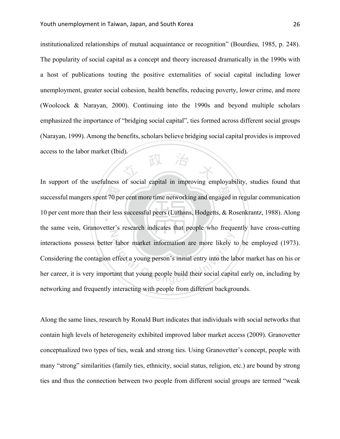文 政 治 ネ institutionalized relationships of mutual acquaintance or recognition" (Bourdieu, 1985, p. 248). The popularity of social capital as a concept and theory increased dramatically in the 1990s with a host of publications touting the positive externalities of social capital including lower unemployment, greater social cohesion, health benefits, reducing poverty, lower crime, and more (Woolcock & Narayan, 2000). Continuing into the 1990s and beyond multiple scholars emphasized the importance of "bridging social capital", ties formed across different social groups (Narayan, 1999). Among the benefits, scholars believe bridging social capital provides is improved access to the labor market (Ibid).

successful mangers spent 70 per cent more time networking and engaged in regular communication<br>10 per cent more than their less successful peers (Luthans, Hodgetts, & Rosenkrantz, 1988). Along 10 per cent more than their less successful peers (Luthans, Hodgetts, & Rosenkrantz, 1988). Along N Tabor market information are more likely to<br>effect a young person's initial entry into the la<br>tant that young people build their social capital In support of the usefulness of social capital in improving employability, studies found that the same vein, Granovetter's research indicates that people who frequently have cross-cutting interactions possess better labor market information are more likely to be employed (1973). Considering the contagion effect a young person's initial entry into the labor market has on his or her career, it is very important that young people build their social capital early on, including by networking and frequently interacting with people from different backgrounds.

Along the same lines, research by Ronald Burt indicates that individuals with social networks that contain high levels of heterogeneity exhibited improved labor market access (2009). Granovetter conceptualized two types of ties, weak and strong ties. Using Granovetter's concept, people with many "strong" similarities (family ties, ethnicity, social status, religion, etc.) are bound by strong ties and thus the connection between two people from different social groups are termed "weak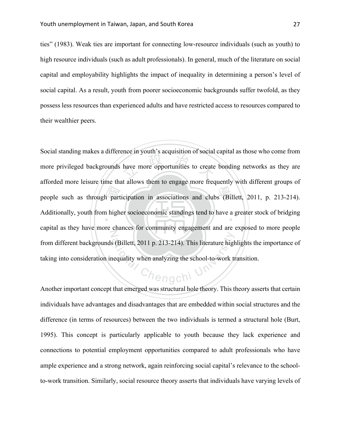ties" (1983). Weak ties are important for connecting low-resource individuals (such as youth) to high resource individuals (such as adult professionals). In general, much of the literature on social capital and employability highlights the impact of inequality in determining a person's level of social capital. As a result, youth from poorer socioeconomic backgrounds suffer twofold, as they possess less resources than experienced adults and have restricted access to resources compared to their wealthier peers.

Part<br>
n high have more opportunities to create people such as through participation in associations and clubs (Billett, 2011, p. 213-214). Additionally, youth from higher socioeconomic standings tend to have a greater stock of bridging N ative Chengchi University when analyzing the school-to-work to Chengchi University Of QChi University Of QChi University Of QChi University Of QChi University Of QChi University Of QChi University Of QChi University Of QC Social standing makes a difference in youth's acquisition of social capital as those who come from more privileged backgrounds have more opportunities to create bonding networks as they are afforded more leisure time that allows them to engage more frequently with different groups of capital as they have more chances for community engagement and are exposed to more people from different backgrounds (Billett, 2011 p. 213-214). This literature highlights the importance of taking into consideration inequality when analyzing the school-to-work transition.

Another important concept that emerged was structural hole theory. This theory asserts that certain individuals have advantages and disadvantages that are embedded within social structures and the difference (in terms of resources) between the two individuals is termed a structural hole (Burt, 1995). This concept is particularly applicable to youth because they lack experience and connections to potential employment opportunities compared to adult professionals who have ample experience and a strong network, again reinforcing social capital's relevance to the schoolto-work transition. Similarly, social resource theory asserts that individuals have varying levels of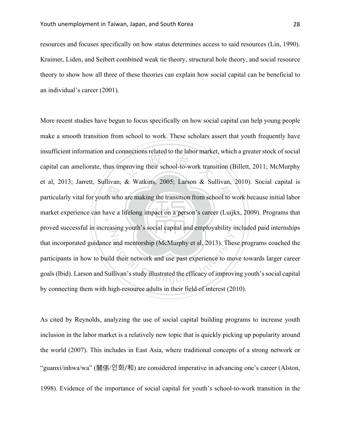resources and focuses specifically on how status determines access to said resources (Lin, 1990). Kraimer, Liden, and Seibert combined weak tie theory, structural hole theory, and social resource theory to show how all three of these theories can explain how social capital can be beneficial to an individual's career (2001).

particularly vital for youth who are making the transition from school to work because initial labor<br>market experience can have a lifelong impact on a person's career (Luijkx, 2009). Programs that proving their school-to-work trans market experience can have a lifelong impact on a person's career (Luijkx, 2009). Programs that N and mentorship (McMurphy et al, 2013). These<br>d their network and use past experience to mo<br>llivan's study illustrated the efficacy of improvi More recent studies have begun to focus specifically on how social capital can help young people make a smooth transition from school to work. These scholars assert that youth frequently have insufficient information and connections related to the labor market, which a greater stock of social capital can ameliorate, thus improving their school-to-work transition (Billett, 2011; McMurphy et al, 2013; Jarrett, Sullivan, & Watkins, 2005; Larson & Sullivan, 2010). Social capital is proved successful in increasing youth's social capital and employability included paid internships that incorporated guidance and mentorship (McMurphy et al, 2013). These programs coached the participants in how to build their network and use past experience to move towards larger career goals (Ibid). Larson and Sullivan's study illustrated the efficacy of improving youth's social capital by connecting them with high-resource adults in their field of interest (2010).

As cited by Reynolds, analyzing the use of social capital building programs to increase youth inclusion in the labor market is a relatively new topic that is quickly picking up popularity around the world (2007). This includes in East Asia, where traditional concepts of a strong network or "guanxi/inhwa/wa" (關係/인화/和) are considered imperative in advancing one's career (Alston, 1998). Evidence of the importance of social capital for youth's school-to-work transition in the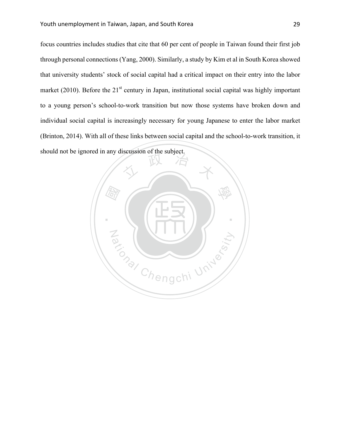focus countries includes studies that cite that 60 per cent of people in Taiwan found their first job through personal connections (Yang, 2000). Similarly, a study by Kim et al in South Korea showed that university students' stock of social capital had a critical impact on their entry into the labor market (2010). Before the  $21<sup>st</sup>$  century in Japan, institutional social capital was highly important to a young person's school-to-work transition but now those systems have broken down and individual social capital is increasingly necessary for young Japanese to enter the labor market (Brinton, 2014). With all of these links between social capital and the school-to-work transition, it should not be ignored in any discussion of the subject.

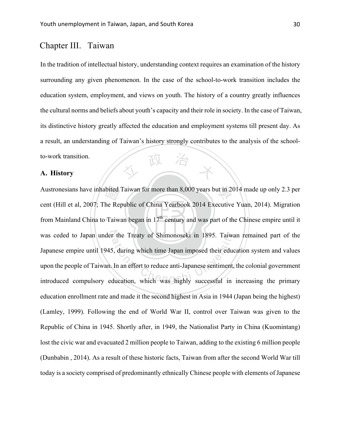# Chapter III. Taiwan

政 In the tradition of intellectual history, understanding context requires an examination of the history surrounding any given phenomenon. In the case of the school-to-work transition includes the education system, employment, and views on youth. The history of a country greatly influences the cultural norms and beliefs about youth's capacity and their role in society. In the case of Taiwan, its distinctive history greatly affected the education and employment systems till present day. As a result, an understanding of Taiwan's history strongly contributes to the analysis of the schoolto-work transition.

# **A. History**

bited<br>he Repeated<br>Taiw Austronesians have inhabited Taiwan for more than 8,000 years but in 2014 made up only 2.3 per  $\frac{1}{2}$ from Mainland China to Taiwan began in 17<sup>th</sup> century and was part of the Chinese empire until it was ceded to Japan under the Treaty of Shimonoseki in 1895. Taiwan remained part of the r the Treaty of Shimonoseki in 1895. Taiwa<br>5, during which time Japan imposed their educ<br>In an effort to reduce anti-Japanese sentiment,<br>ducation, which was highly successful in cent (Hill et al, 2007; The Republic of China Yearbook 2014 Executive Yuan, 2014). Migration Japanese empire until 1945, during which time Japan imposed their education system and values upon the people of Taiwan. In an effort to reduce anti-Japanese sentiment, the colonial government introduced compulsory education, which was highly successful in increasing the primary education enrollment rate and made it the second highest in Asia in 1944 (Japan being the highest) (Lamley, 1999). Following the end of World War II, control over Taiwan was given to the Republic of China in 1945. Shortly after, in 1949, the Nationalist Party in China (Kuomintang) lost the civic war and evacuated 2 million people to Taiwan, adding to the existing 6 million people (Dunbabin , 2014). As a result of these historic facts, Taiwan from after the second World War till today is a society comprised of predominantly ethnically Chinese people with elements of Japanese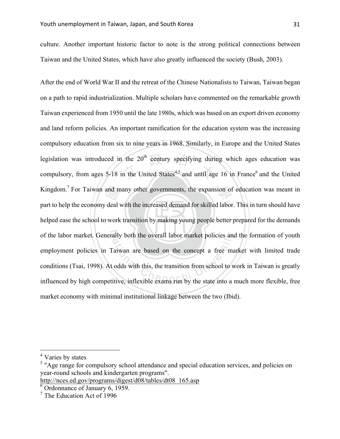culture. Another important historic factor to note is the strong political connections between Taiwan and the United States, which have also greatly influenced the society (Bush, 2003).

‧and m<br>deal legislation was introduced in the  $20^{th}$  century specifying during which ages education was compulsory, from ages 5-18 in the United States<sup>4,5</sup> and until age 16 in France<sup>6</sup> and the United Kingdom.<sup>7</sup> For Taiwan and many other governments, the expansion of education was meant in helped ease the school to work transition by making young people better prepared for the demands of the labor market. Generally both the overall labor market policies and the formation of youth ally both the overall labor market policies and<br>
Taiwan are based on the concept a free ma<br>
Loodds with this, the transition from school to w<br>
itive, inflexible exams run by the state into a r After the end of World War II and the retreat of the Chinese Nationalists to Taiwan, Taiwan began on a path to rapid industrialization. Multiple scholars have commented on the remarkable growth Taiwan experienced from 1950 until the late 1980s, which was based on an export driven economy and land reform policies. An important ramification for the education system was the increasing compulsory education from six to nine years in 1968. Similarly, in Europe and the United States compulsory, from ages  $5-18$  in the United States<sup>4,5</sup> and until age 16 in France<sup>6</sup> and the United part to help the economy deal with the increased demand for skilled labor. This in turn should have employment policies in Taiwan are based on the concept a free market with limited trade conditions (Tsai, 1998). At odds with this, the transition from school to work in Taiwan is greatly influenced by high competitive, inflexible exams run by the state into a much more flexible, free market economy with minimal institutional linkage between the two (Ibid).

 <sup>4</sup> Varies by states

<sup>&</sup>lt;sup>5</sup> "Age range for compulsory school attendance and special education services, and policies on year-round schools and kindergarten programs".

http://nces.ed.gov/programs/digest/d08/tables/dt08\_165.asp

 $\overline{6}$  Ordonnance of January 6, 1959.

<sup>7</sup> The Education Act of 1996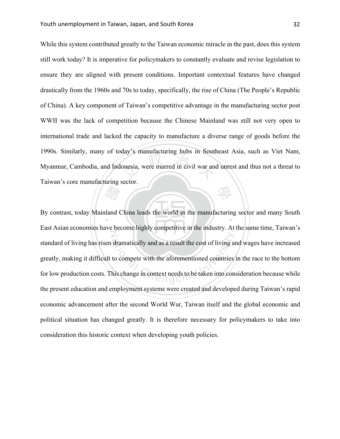onesia, were marred in civil war and 學 While this system contributed greatly to the Taiwan economic miracle in the past, does this system still work today? It is imperative for policymakers to constantly evaluate and revise legislation to ensure they are aligned with present conditions. Important contextual features have changed drastically from the 1960s and 70s to today, specifically, the rise of China (The People's Republic of China). A key component of Taiwan's competitive advantage in the manufacturing sector post WWII was the lack of competition because the Chinese Mainland was still not very open to international trade and lacked the capacity to manufacture a diverse range of goods before the 1990s. Similarly, many of today's manufacturing hubs in Southeast Asia, such as Viet Nam, Myanmar, Cambodia, and Indonesia, were marred in civil war and unrest and thus not a threat to Taiwan's core manufacturing sector.

Extra de la de la de la década de la década de la década de la década de la década de la década de la década d<br>En la década de la década de la década de la década de la década de la década de la década de la década de la<br>D By contrast, today Mainland China leads the world in the manufacturing sector and many South N dramatically and as a result the cost of living and<br>to compete with the aforementioned countries<br>his change in context needs to be taken into con East Asian economies have become highly competitive in the industry. At the same time, Taiwan's standard of living has risen dramatically and as a result the cost of living and wages have increased greatly, making it difficult to compete with the aforementioned countries in the race to the bottom for low production costs. This change in context needs to be taken into consideration because while the present education and employment systems were created and developed during Taiwan's rapid economic advancement after the second World War, Taiwan itself and the global economic and political situation has changed greatly. It is therefore necessary for policymakers to take into consideration this historic context when developing youth policies.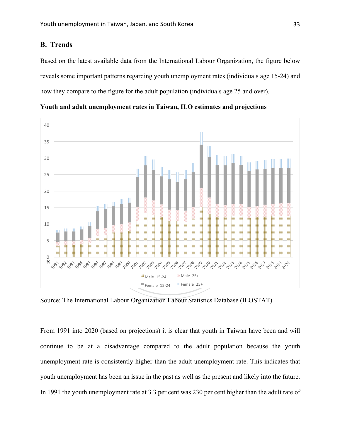# **B. Trends**

Based on the latest available data from the International Labour Organization, the figure below reveals some important patterns regarding youth unemployment rates (individuals age 15-24) and how they compare to the figure for the adult population (individuals age 25 and over).



**Youth and adult unemployment rates in Taiwan, ILO estimates and projections**

Source: The International Labour Organization Labour Statistics Database (ILOSTAT)

From 1991 into 2020 (based on projections) it is clear that youth in Taiwan have been and will continue to be at a disadvantage compared to the adult population because the youth unemployment rate is consistently higher than the adult unemployment rate. This indicates that youth unemployment has been an issue in the past as well as the present and likely into the future. In 1991 the youth unemployment rate at 3.3 per cent was 230 per cent higher than the adult rate of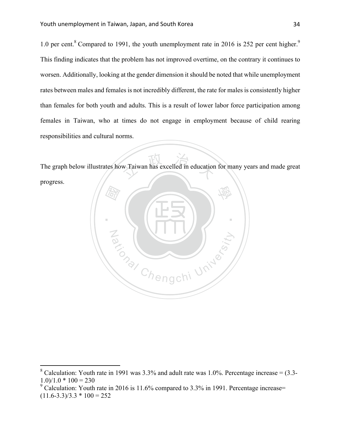1.0 per cent.<sup>8</sup> Compared to 1991, the youth unemployment rate in 2016 is 252 per cent higher.<sup>9</sup> This finding indicates that the problem has not improved overtime, on the contrary it continues to worsen. Additionally, looking at the gender dimension it should be noted that while unemployment rates between males and females is not incredibly different, the rate for males is consistently higher than females for both youth and adults. This is a result of lower labor force participation among females in Taiwan, who at times do not engage in employment because of child rearing responsibilities and cultural norms.

w Taiwan has excelled in education The graph below illustrates how Taiwan has excelled in education for many years and made great progress.



<sup>&</sup>lt;sup>8</sup> Calculation: Youth rate in 1991 was  $3.3\%$  and adult rate was 1.0%. Percentage increase =  $(3.3 1.0$ )/ $1.0$  \*  $100 = 230$ 

<sup>&</sup>lt;sup>9</sup> Calculation: Youth rate in 2016 is 11.6% compared to 3.3% in 1991. Percentage increase=  $(11.6-3.3)/3.3 * 100 = 252$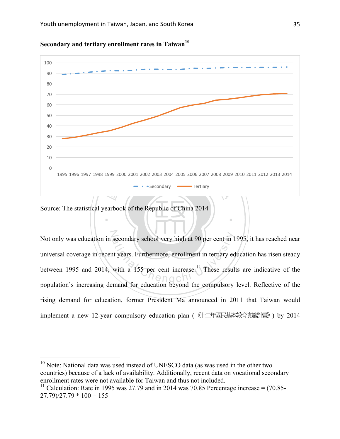

**Secondary and tertiary enrollment rates in Taiwan**<sup>10</sup>

# Source: The statistical yearbook of the Republic of China 2014

N secondary school very high at 90 per cent in 1<br>at years. Furthermore, enrollment in tertiary ed<br>with a 155 per cent increase.<sup>11</sup> These result Not only was education in secondary school very high at 90 per cent in 1995, it has reached near universal coverage in recent years. Furthermore, enrollment in tertiary education has risen steady between 1995 and 2014, with a 155 per cent increase.<sup>11</sup> These results are indicative of the population's increasing demand for education beyond the compulsory level. Reflective of the rising demand for education, former President Ma announced in 2011 that Taiwan would implement a new 12-year compulsory education plan (《十二年國民基本教育實施計畫》) by 2014

‧

<sup>&</sup>lt;sup>10</sup> Note: National data was used instead of UNESCO data (as was used in the other two countries) because of a lack of availability. Additionally, recent data on vocational secondary enrollment rates were not available for Taiwan and thus not included.

<sup>&</sup>lt;sup>11</sup> Calculation: Rate in 1995 was 27.79 and in 2014 was 70.85 Percentage increase =  $(70.85 27.79$ )/27.79  $*$  100 = 155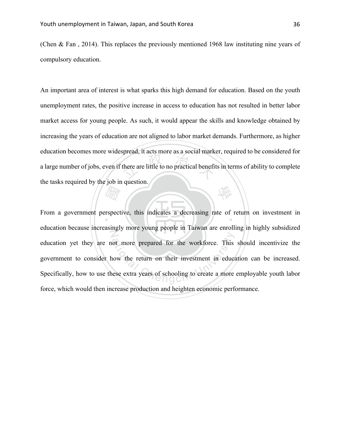(Chen & Fan , 2014). This replaces the previously mentioned 1968 law instituting nine years of compulsory education.

there are little to no practical benefit 學 An important area of interest is what sparks this high demand for education. Based on the youth unemployment rates, the positive increase in access to education has not resulted in better labor market access for young people. As such, it would appear the skills and knowledge obtained by increasing the years of education are not aligned to labor market demands. Furthermore, as higher education becomes more widespread, it acts more as a social marker, required to be considered for a large number of jobs, even if there are little to no practical benefits in terms of ability to complete the tasks required by the job in question.

**Address** From a government perspective, this indicates a decreasing rate of return on investment in Z ot more prepared for the workforce. This<br>how the return on their investment in educations<br>how the return on their investment in educations education because increasingly more young people in Taiwan are enrolling in highly subsidized education yet they are not more prepared for the workforce. This should incentivize the government to consider how the return on their investment in education can be increased. Specifically, how to use these extra years of schooling to create a more employable youth labor force, which would then increase production and heighten economic performance.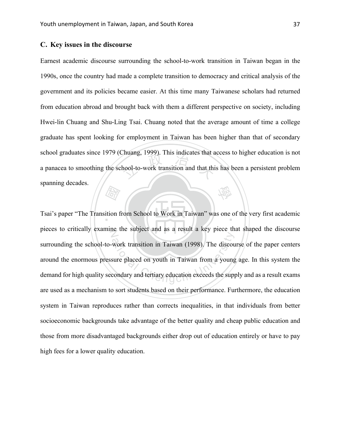#### **C. Key issues in the discourse**

huang, 1999). This indicates that a<br>hool-to-work transition and that thi 學 Earnest academic discourse surrounding the school-to-work transition in Taiwan began in the 1990s, once the country had made a complete transition to democracy and critical analysis of the government and its policies became easier. At this time many Taiwanese scholars had returned from education abroad and brought back with them a different perspective on society, including Hwei-lin Chuang and Shu-Ling Tsai. Chuang noted that the average amount of time a college graduate has spent looking for employment in Taiwan has been higher than that of secondary school graduates since 1979 (Chuang, 1999). This indicates that access to higher education is not a panacea to smoothing the school-to-work transition and that this has been a persistent problem spanning decades.

**Address**<br>ition f Tsai's paper "The Transition from School to Work in Taiwan" was one of the very first academic pieces to critically examine the subject and as a result a key piece that shaped the discourse work transition in Taiwan (1998). The discousure placed on youth in Taiwan from a young<br>condary and tertiary education exceeds the supp surrounding the school-to-work transition in Taiwan (1998). The discourse of the paper centers around the enormous pressure placed on youth in Taiwan from a young age. In this system the demand for high quality secondary and tertiary education exceeds the supply and as a result exams are used as a mechanism to sort students based on their performance. Furthermore, the education system in Taiwan reproduces rather than corrects inequalities, in that individuals from better socioeconomic backgrounds take advantage of the better quality and cheap public education and those from more disadvantaged backgrounds either drop out of education entirely or have to pay high fees for a lower quality education.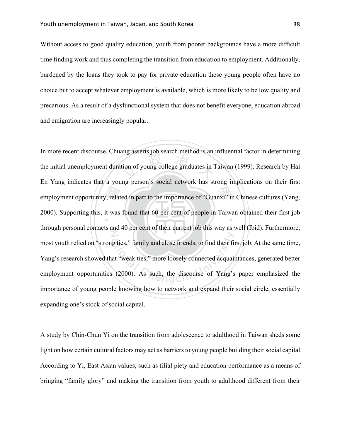Without access to good quality education, youth from poorer backgrounds have a more difficult time finding work and thus completing the transition from education to employment. Additionally, burdened by the loans they took to pay for private education these young people often have no choice but to accept whatever employment is available, which is more likely to be low quality and precarious. As a result of a dysfunctional system that does not benefit everyone, education abroad and emigration are increasingly popular.

employment opportunity, related in part to the importance of "Guanxi" in Chinese cultures (Yang, 2000). Supporting this, it was found that 60 per cent of people in Taiwan obtained their first job tion of young college graduates in 1 2000). Supporting this, it was found that 60 per cent of people in Taiwan obtained their first job N g ties," family and close friends, to find their fire<br>at "weak ties," more loosely connected acquain<br>(2000). As such, the discourse of Yang's In more recent discourse, Chuang asserts job search method is an influential factor in determining the initial unemployment duration of young college graduates in Taiwan (1999). Research by Hai En Yang indicates that a young person's social network has strong implications on their first through personal contacts and 40 per cent of their current job this way as well (Ibid). Furthermore, most youth relied on "strong ties," family and close friends, to find their first job. At the same time, Yang's research showed that "weak ties," more loosely connected acquaintances, generated better employment opportunities (2000). As such, the discourse of Yang's paper emphasized the importance of young people knowing how to network and expand their social circle, essentially expanding one's stock of social capital.

A study by Chin-Chun Yi on the transition from adolescence to adulthood in Taiwan sheds some light on how certain cultural factors may act as barriers to young people building their social capital. According to Yi, East Asian values, such as filial piety and education performance as a means of bringing "family glory" and making the transition from youth to adulthood different from their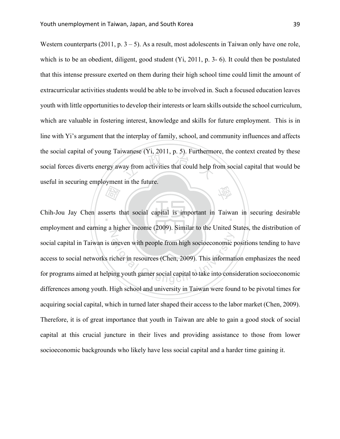wandse  $(1, 2011, p. 5)$ . The thermal ray from activities that could help find 學 Western counterparts (2011, p.  $3 - 5$ ). As a result, most adolescents in Taiwan only have one role, which is to be an obedient, diligent, good student (Yi, 2011, p. 3- 6). It could then be postulated that this intense pressure exerted on them during their high school time could limit the amount of extracurricular activities students would be able to be involved in. Such a focused education leaves youth with little opportunities to develop their interests or learn skills outside the school curriculum, which are valuable in fostering interest, knowledge and skills for future employment. This is in line with Yi's argument that the interplay of family, school, and community influences and affects the social capital of young Taiwanese (Yi, 2011, p. 5). Furthermore, the context created by these social forces diverts energy away from activities that could help from social capital that would be useful in securing employment in the future.

**Address**<br>Serts t Chih-Jou Jay Chen asserts that social capital is important in Taiwan in securing desirable N uneven with people from high socioeconomic p<br>icher in resources (Chen, 2009). This informat<br>ing youth garner social capital to take into cons employment and earning a higher income (2009). Similar to the United States, the distribution of social capital in Taiwan is uneven with people from high socioeconomic positions tending to have access to social networks richer in resources (Chen, 2009). This information emphasizes the need for programs aimed at helping youth garner social capital to take into consideration socioeconomic differences among youth. High school and university in Taiwan were found to be pivotal times for acquiring social capital, which in turned later shaped their access to the labor market (Chen, 2009). Therefore, it is of great importance that youth in Taiwan are able to gain a good stock of social capital at this crucial juncture in their lives and providing assistance to those from lower socioeconomic backgrounds who likely have less social capital and a harder time gaining it.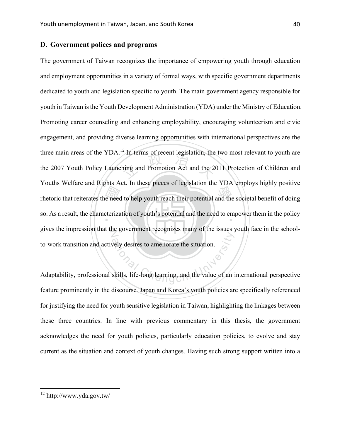#### **D. Government polices and programs**

Thetoric that reiterates the need to help youth reach their potential and the societal benefit of doing<br>so. As a result, the characterization of youth's potential and the need to empower them in the policy In terms of recent legislation, the<br>hing and Promotion Act and the 2 so. As a result, the characterization of youth's potential and the need to empower them in the policy gives the impression that the government recognizes many of the issues youth face in the schoolatively desires to ameliorate the situation. The government of Taiwan recognizes the importance of empowering youth through education and employment opportunities in a variety of formal ways, with specific government departments dedicated to youth and legislation specific to youth. The main government agency responsible for youth in Taiwan is the Youth Development Administration (YDA) under the Ministry of Education. Promoting career counseling and enhancing employability, encouraging volunteerism and civic engagement, and providing diverse learning opportunities with international perspectives are the three main areas of the YDA.<sup>12</sup> In terms of recent legislation, the two most relevant to youth are the 2007 Youth Policy Launching and Promotion Act and the 2011 Protection of Children and Youths Welfare and Rights Act. In these pieces of legislation the YDA employs highly positive to-work transition and actively desires to ameliorate the situation.

Adaptability, professional skills, life-long learning, and the value of an international perspective feature prominently in the discourse. Japan and Korea's youth policies are specifically referenced for justifying the need for youth sensitive legislation in Taiwan, highlighting the linkages between these three countries. In line with previous commentary in this thesis, the government acknowledges the need for youth policies, particularly education policies, to evolve and stay current as the situation and context of youth changes. Having such strong support written into a

 <sup>12</sup> http://www.yda.gov.tw/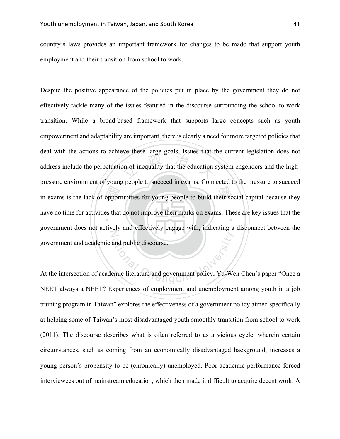country's laws provides an important framework for changes to be made that support youth employment and their transition from school to work.

In exams is the lack of opportunities for young people to build their social capital because they<br>have no time for activities that do not improve their marks on exams. These are key issues that the on of inequality that the education : have no time for activities that do not improve their marks on exams. These are key issues that the N and public discourse. Despite the positive appearance of the policies put in place by the government they do not effectively tackle many of the issues featured in the discourse surrounding the school-to-work transition. While a broad-based framework that supports large concepts such as youth empowerment and adaptability are important, there is clearly a need for more targeted policies that deal with the actions to achieve these large goals. Issues that the current legislation does not address include the perpetuation of inequality that the education system engenders and the highpressure environment of young people to succeed in exams. Connected to the pressure to succeed government does not actively and effectively engage with, indicating a disconnect between the government and academic and public discourse.

At the intersection of academic literature and government policy, Yu-Wen Chen's paper "Once a NEET always a NEET? Experiences of employment and unemployment among youth in a job training program in Taiwan" explores the effectiveness of a government policy aimed specifically at helping some of Taiwan's most disadvantaged youth smoothly transition from school to work (2011). The discourse describes what is often referred to as a vicious cycle, wherein certain circumstances, such as coming from an economically disadvantaged background, increases a young person's propensity to be (chronically) unemployed. Poor academic performance forced interviewees out of mainstream education, which then made it difficult to acquire decent work. A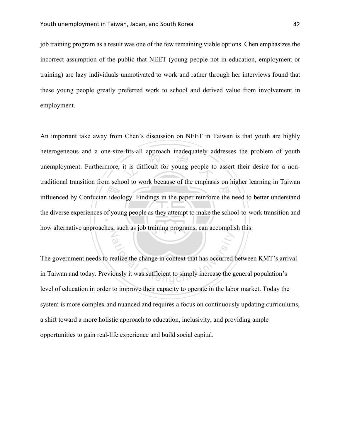job training program as a result was one of the few remaining viable options. Chen emphasizes the incorrect assumption of the public that NEET (young people not in education, employment or training) are lazy individuals unmotivated to work and rather through her interviews found that these young people greatly preferred work to school and derived value from involvement in employment.

influenced by Confucian ideology. Findings in the paper reinforce the need to better understand<br>the diverse experiences of young people as they attempt to make the school-to-work transition and it is difficult for young people to the diverse experiences of young people as they attempt to make the school-to-work transition and N An important take away from Chen's discussion on NEET in Taiwan is that youth are highly heterogeneous and a one-size-fits-all approach inadequately addresses the problem of youth unemployment. Furthermore, it is difficult for young people to assert their desire for a nontraditional transition from school to work because of the emphasis on higher learning in Taiwan how alternative approaches, such as job training programs, can accomplish this.

Basic entry that has occurred to simply increase the gously it was sufficient to simply increase the g The government needs to realize the change in context that has occurred between KMT's arrival in Taiwan and today. Previously it was sufficient to simply increase the general population's level of education in order to improve their capacity to operate in the labor market. Today the system is more complex and nuanced and requires a focus on continuously updating curriculums, a shift toward a more holistic approach to education, inclusivity, and providing ample opportunities to gain real-life experience and build social capital.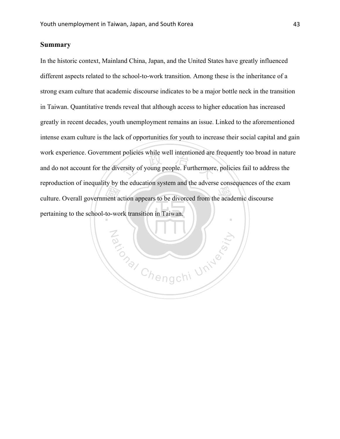### **Summary**

expression of inequality by the culture. By seem that the transfer conceptibles of the<br>culture. Overall government action appears to be divorced from the academic discourse<br>pertaining to the school-to-work transition in Ta policies while well intentioned are<br>ersity of young people. Furthermore ‧ In the historic context, Mainland China, Japan, and the United States have greatly influenced different aspects related to the school-to-work transition. Among these is the inheritance of a strong exam culture that academic discourse indicates to be a major bottle neck in the transition in Taiwan. Quantitative trends reveal that although access to higher education has increased greatly in recent decades, youth unemployment remains an issue. Linked to the aforementioned intense exam culture is the lack of opportunities for youth to increase their social capital and gain work experience. Government policies while well intentioned are frequently too broad in nature and do not account for the diversity of young people. Furthermore, policies fail to address the reproduction of inequality by the education system and the adverse consequences of the exam pertaining to the school-to-work transition in Taiwan.

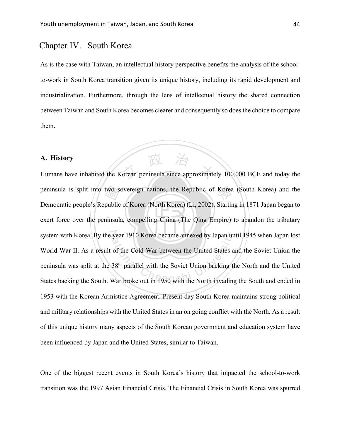## Chapter IV. South Korea

As is the case with Taiwan, an intellectual history perspective benefits the analysis of the schoolto-work in South Korea transition given its unique history, including its rapid development and industrialization. Furthermore, through the lens of intellectual history the shared connection between Taiwan and South Korea becomes clearer and consequently so does the choice to compare them.

#### **A. History**

‧two se<br>public<br>ninsul: A. History<br>Humans have inhabited the Korean peninsula since approximately 100,000 BCE and today the peninsula is split into two sovereign nations, the Republic of Korea (South Korea) and the exert force over the peninsula, compelling China (The Qing Empire) to abandon the tributary system with Korea. By the year 1910 Korea became annexed by Japan until 1945 when Japan lost system with Korea. By the year 1910 Korea became annexed by Japan until 1945 when Japan lost<br>World War II. As a result of the Cold War between the United States and the Soviet Union the<br>peninsula was split at the 38<sup>th</sup> pa Democratic people's Republic of Korea (North Korea) (Li, 2002). Starting in 1871 Japan began to World War II. As a result of the Cold War between the United States and the Soviet Union the peninsula was split at the 38<sup>th</sup> parallel with the Soviet Union backing the North and the United 1953 with the Korean Armistice Agreement. Present day South Korea maintains strong political and military relationships with the United States in an on going conflict with the North. As a result of this unique history many aspects of the South Korean government and education system have been influenced by Japan and the United States, similar to Taiwan.

One of the biggest recent events in South Korea's history that impacted the school-to-work transition was the 1997 Asian Financial Crisis. The Financial Crisis in South Korea was spurred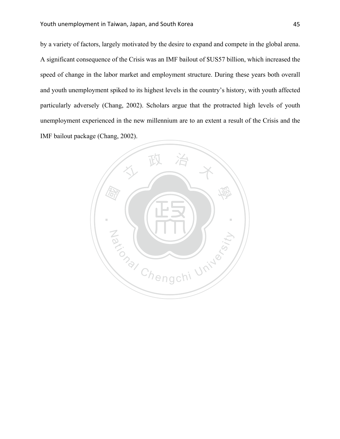by a variety of factors, largely motivated by the desire to expand and compete in the global arena. A significant consequence of the Crisis was an IMF bailout of \$US57 billion, which increased the speed of change in the labor market and employment structure. During these years both overall and youth unemployment spiked to its highest levels in the country's history, with youth affected particularly adversely (Chang, 2002). Scholars argue that the protracted high levels of youth unemployment experienced in the new millennium are to an extent a result of the Crisis and the IMF bailout package (Chang, 2002).

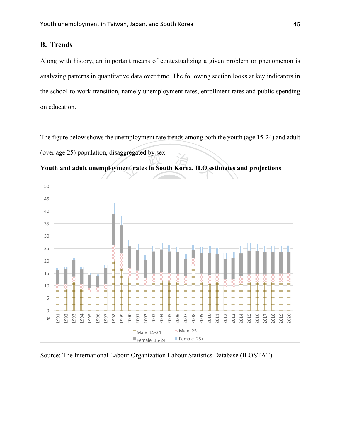## **B. Trends**

Along with history, an important means of contextualizing a given problem or phenomenon is analyzing patterns in quantitative data over time. The following section looks at key indicators in the school-to-work transition, namely unemployment rates, enrollment rates and public spending on education.

The figure below shows the unemployment rate trends among both the youth (age 15-24) and adult (over age 25) population, disaggregated by sex.



**Youth and adult unemployment rates in South Korea, ILO estimates and projections**

Source: The International Labour Organization Labour Statistics Database (ILOSTAT)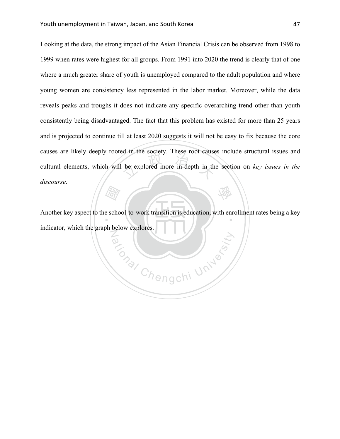be explored more in-depth in the 學 Looking at the data, the strong impact of the Asian Financial Crisis can be observed from 1998 to 1999 when rates were highest for all groups. From 1991 into 2020 the trend is clearly that of one where a much greater share of youth is unemployed compared to the adult population and where young women are consistency less represented in the labor market. Moreover, while the data reveals peaks and troughs it does not indicate any specific overarching trend other than youth consistently being disadvantaged. The fact that this problem has existed for more than 25 years and is projected to continue till at least 2020 suggests it will not be easy to fix because the core causes are likely deeply rooted in the society. These root causes include structural issues and cultural elements, which will be explored more in-depth in the section on *key issues in the discourse*.

 $\frac{d}{dx}$ <br> $\frac{d}{dx}$ <br> $\frac{d}{dx}$ <br> $\frac{d}{dx}$ <br> $\frac{d}{dx}$ <br> $\frac{d}{dx}$ Another key aspect to the school-to-work transition is education, with enrollment rates being a key Para Chengchi University indicator, which the graph below explores.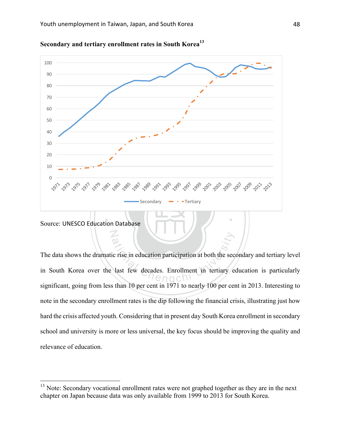



N

ation<br>
In Exercise in education participation at both the security<br>
Last few decades. Enrollment in tertiary e The data shows the dramatic rise in education participation at both the secondary and tertiary level in South Korea over the last few decades. Enrollment in tertiary education is particularly significant, going from less than 10 per cent in 1971 to nearly 100 per cent in 2013. Interesting to note in the secondary enrollment rates is the dip following the financial crisis, illustrating just how hard the crisis affected youth. Considering that in present day South Korea enrollment in secondary school and university is more or less universal, the key focus should be improving the quality and relevance of education.

<sup>&</sup>lt;sup>13</sup> Note: Secondary vocational enrollment rates were not graphed together as they are in the next chapter on Japan because data was only available from 1999 to 2013 for South Korea.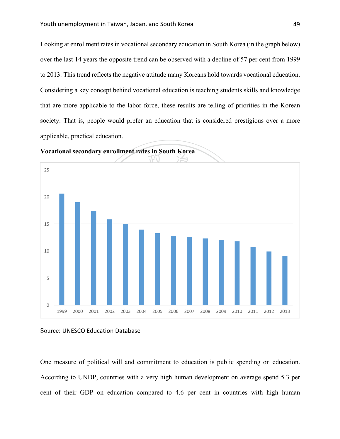Looking at enrollment rates in vocational secondary education in South Korea (in the graph below) over the last 14 years the opposite trend can be observed with a decline of 57 per cent from 1999 to 2013. This trend reflects the negative attitude many Koreans hold towards vocational education. Considering a key concept behind vocational education is teaching students skills and knowledge that are more applicable to the labor force, these results are telling of priorities in the Korean society. That is, people would prefer an education that is considered prestigious over a more applicable, practical education.



**Vocational secondary enrollment rates in South Korea**

One measure of political will and commitment to education is public spending on education. According to UNDP, countries with a very high human development on average spend 5.3 per cent of their GDP on education compared to 4.6 per cent in countries with high human

Source: UNESCO Education Database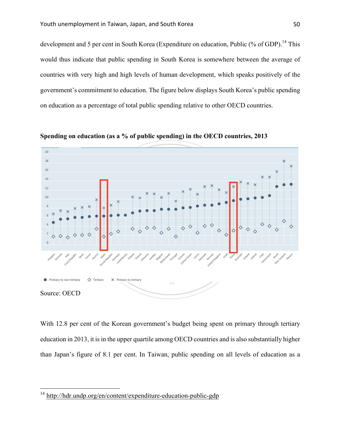development and 5 per cent in South Korea (Expenditure on education, Public (% of GDP).<sup>14</sup> This would thus indicate that public spending in South Korea is somewhere between the average of countries with very high and high levels of human development, which speaks positively of the government's commitment to education. The figure below displays South Korea's public spending on education as a percentage of total public spending relative to other OECD countries.



**Spending on education (as a % of public spending) in the OECD countries, 2013**

With 12.8 per cent of the Korean government's budget being spent on primary through tertiary education in 2013, it is in the upper quartile among OECD countries and is also substantially higher than Japan's figure of 8.1 per cent. In Taiwan, public spending on all levels of education as a

 <sup>14</sup> http://hdr.undp.org/en/content/expenditure-education-public-gdp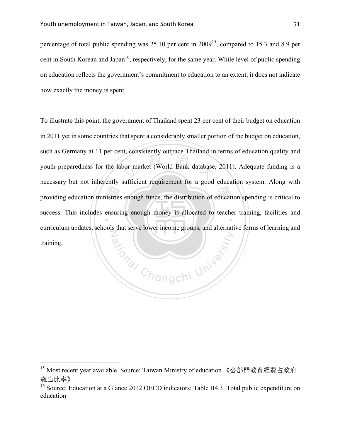percentage of total public spending was  $25.10$  per cent in  $2009<sup>15</sup>$ , compared to 15.3 and 8.9 per cent in South Korean and Japan<sup>16</sup>, respectively, for the same year. While level of public spending on education reflects the government's commitment to education to an extent, it does not indicate how exactly the money is spent.

providing education ministries enough funds, the distribution of education spending is critical to success. This includes ensuring enough money is allocated to teacher training, facilities and the consistently outpute 1 handle in success. This includes ensuring enough money is allocated to teacher training, facilities and Participal Chengchi University To illustrate this point, the government of Thailand spent 23 per cent of their budget on education in 2011 yet in some countries that spent a considerably smaller portion of the budget on education, such as Germany at 11 per cent, consistently outpace Thailand in terms of education quality and youth preparedness for the labor market (World Bank database, 2011). Adequate funding is a necessary but not inherently sufficient requirement for a good education system. Along with curriculum updates, schools that serve lower income groups, and alternative forms of learning and training.

 

<sup>&</sup>lt;sup>15</sup> Most recent year available. Source: Taiwan Ministry of education 《公部門教育經費占政府 歲出比率》

<sup>&</sup>lt;sup>16</sup> Source: Education at a Glance 2012 OECD indicators: Table B4.3. Total public expenditure on education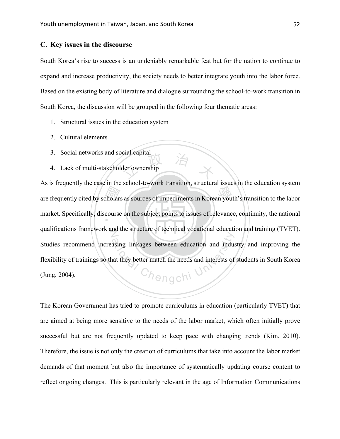#### **C. Key issues in the discourse**

South Korea's rise to success is an undeniably remarkable feat but for the nation to continue to expand and increase productivity, the society needs to better integrate youth into the labor force. Based on the existing body of literature and dialogue surrounding the school-to-work transition in South Korea, the discussion will be grouped in the following four thematic areas:

- 1. Structural issues in the education system
- 2. Cultural elements
- 3. Social networks and social capital
- der ownership 4. Lack of multi-stakeholder ownership

are frequently cited by scholars as sources of impediments in Korean youth's transition to the labor market. Specifically, discourse on the subject points to issues of relevance, continuity, the national market. Specifically, discourse on the subject points to issues of relevance, continuity, the national qualifications framework and the structure of technical vocational education and training (TVET). asing linkages between education and industant they better match the needs and interests of As is frequently the case in the school-to-work transition, structural issues in the education system Studies recommend increasing linkages between education and industry and improving the flexibility of trainings so that they better match the needs and interests of students in South Korea (Jung, 2004).

The Korean Government has tried to promote curriculums in education (particularly TVET) that are aimed at being more sensitive to the needs of the labor market, which often initially prove successful but are not frequently updated to keep pace with changing trends (Kim, 2010). Therefore, the issue is not only the creation of curriculums that take into account the labor market demands of that moment but also the importance of systematically updating course content to reflect ongoing changes. This is particularly relevant in the age of Information Communications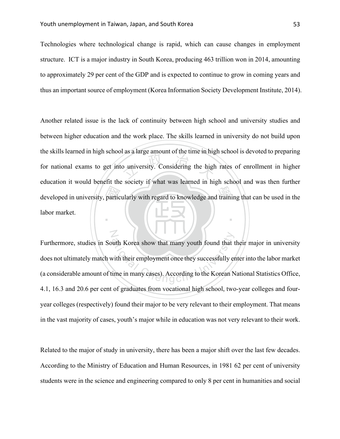N

Technologies where technological change is rapid, which can cause changes in employment structure. ICT is a major industry in South Korea, producing 463 trillion won in 2014, amounting to approximately 29 per cent of the GDP and is expected to continue to grow in coming years and thus an important source of employment (Korea Information Society Development Institute, 2014).

developed in university, particularly with regard to knowledge and training that can be used in the<br>labor market. o university. Considering the high ‧ Another related issue is the lack of continuity between high school and university studies and between higher education and the work place. The skills learned in university do not build upon the skills learned in high school as a large amount of the time in high school is devoted to preparing for national exams to get into university. Considering the high rates of enrollment in higher education it would benefit the society if what was learned in high school and was then further labor market.

with Korea show that many youth found that t<br>with their employment once they successfully er<br>ime in many cases). According to the Korean N Furthermore, studies in South Korea show that many youth found that their major in university does not ultimately match with their employment once they successfully enter into the labor market (a considerable amount of time in many cases). According to the Korean National Statistics Office, 4.1, 16.3 and 20.6 per cent of graduates from vocational high school, two-year colleges and fouryear colleges (respectively) found their major to be very relevant to their employment. That means in the vast majority of cases, youth's major while in education was not very relevant to their work.

Related to the major of study in university, there has been a major shift over the last few decades. According to the Ministry of Education and Human Resources, in 1981 62 per cent of university students were in the science and engineering compared to only 8 per cent in humanities and social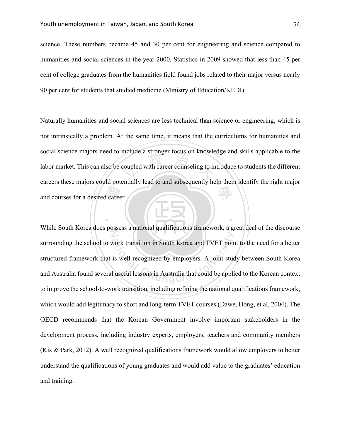science. These numbers became 45 and 30 per cent for engineering and science compared to humanities and social sciences in the year 2000. Statistics in 2009 showed that less than 45 per cent of college graduates from the humanities field found jobs related to their major versus nearly 90 per cent for students that studied medicine (Ministry of Education/KEDI).

de Care coupled with career counseling to in 學 Naturally humanities and social sciences are less technical than science or engineering, which is not intrinsically a problem. At the same time, it means that the curriculums for humanities and social science majors need to include a stronger focus on knowledge and skills applicable to the labor market. This can also be coupled with career counseling to introduce to students the different careers these majors could potentially lead to and subsequently help them identify the right major and courses for a desired career.

‧

N work transition in South Korea and TVET poin<br>is well recognized by employers. A joint stud<br>l useful lessons in Australia that could be appli While South Korea does possess a national qualifications framework, a great deal of the discourse surrounding the school to work transition in South Korea and TVET point to the need for a better structured framework that is well recognized by employers. A joint study between South Korea and Australia found several useful lessons in Australia that could be applied to the Korean context to improve the school-to-work transition, including refining the national qualifications framework, which would add legitimacy to short and long-term TVET courses (Dawe, Hong, et al, 2004). The OECD recommends that the Korean Government involve important stakeholders in the development process, including industry experts, employers, teachers and community members (Kis & Park, 2012). A well recognized qualifications framework would allow employers to better understand the qualifications of young graduates and would add value to the graduates' education and training.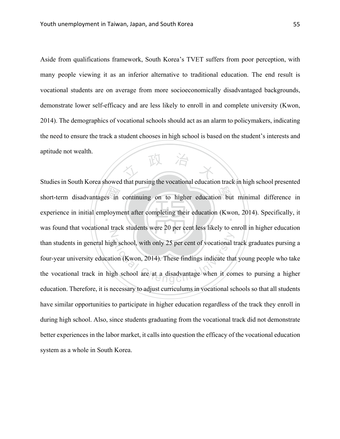人 政 治 木 Aside from qualifications framework, South Korea's TVET suffers from poor perception, with many people viewing it as an inferior alternative to traditional education. The end result is vocational students are on average from more socioeconomically disadvantaged backgrounds, demonstrate lower self-efficacy and are less likely to enroll in and complete university (Kwon, 2014). The demographics of vocational schools should act as an alarm to policymakers, indicating the need to ensure the track a student chooses in high school is based on the student's interests and aptitude not wealth.

short-term disadvantages in continuing on to higher education but minimal difference in<br>experience in initial employment after completing their education (Kwon, 2014). Specifically, it experience in initial employment after completing their education (Kwon, 2014). Specifically, it N ational the school, with only 25 per cent of vocational the school (Kwon, 2014). These findings indicate that<br>gh school are at a disadvantage when it con Studies in South Korea showed that pursing the vocational education track in high school presented was found that vocational track students were 20 per cent less likely to enroll in higher education than students in general high school, with only 25 per cent of vocational track graduates pursing a four-year university education (Kwon, 2014). These findings indicate that young people who take the vocational track in high school are at a disadvantage when it comes to pursing a higher education. Therefore, it is necessary to adjust curriculums in vocational schools so that all students have similar opportunities to participate in higher education regardless of the track they enroll in during high school. Also, since students graduating from the vocational track did not demonstrate better experiences in the labor market, it calls into question the efficacy of the vocational education system as a whole in South Korea.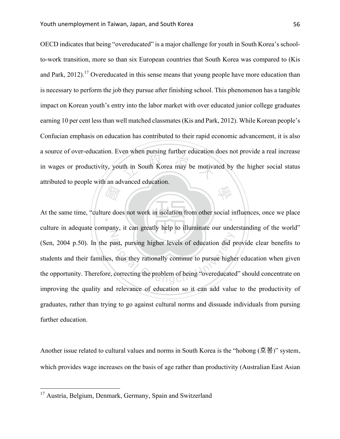th in South Korea may be motive 學 OECD indicates that being "overeducated" is a major challenge for youth in South Korea's schoolto-work transition, more so than six European countries that South Korea was compared to (Kis and Park,  $2012$ ).<sup>17</sup> Overeducated in this sense means that young people have more education than is necessary to perform the job they pursue after finishing school. This phenomenon has a tangible impact on Korean youth's entry into the labor market with over educated junior college graduates earning 10 per cent less than well matched classmates (Kis and Park, 2012). While Korean people's Confucian emphasis on education has contributed to their rapid economic advancement, it is also a source of over-education. Even when pursing further education does not provide a real increase in wages or productivity, youth in South Korea may be motivated by the higher social status attributed to people with an advanced education.

*Fair*<br>re doe At the same time, "culture does not work in isolation from other social influences, once we place N ast, pursing higher levels of education did p<br>thus they rationally continue to pursue higher<br>correcting the problem of being "overeducated culture in adequate company, it can greatly help to illuminate our understanding of the world" (Sen, 2004 p.50). In the past, pursing higher levels of education did provide clear benefits to students and their families, thus they rationally continue to pursue higher education when given the opportunity. Therefore, correcting the problem of being "overeducated" should concentrate on improving the quality and relevance of education so it can add value to the productivity of graduates, rather than trying to go against cultural norms and dissuade individuals from pursing further education.

Another issue related to cultural values and norms in South Korea is the "hobong (호봉)" system, which provides wage increases on the basis of age rather than productivity (Australian East Asian

<sup>&</sup>lt;sup>17</sup> Austria, Belgium, Denmark, Germany, Spain and Switzerland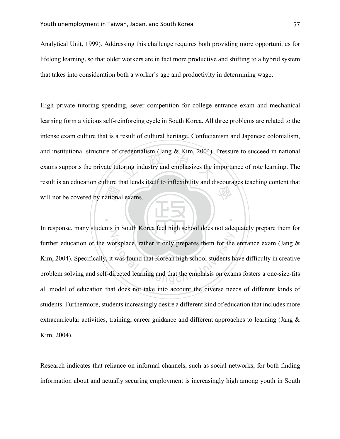Analytical Unit, 1999). Addressing this challenge requires both providing more opportunities for lifelong learning, so that older workers are in fact more productive and shifting to a hybrid system that takes into consideration both a worker's age and productivity in determining wage.

ationa  $\frac{1}{2}$  or  $\frac{1}{2}$  and emphasizes the i 學 High private tutoring spending, sever competition for college entrance exam and mechanical learning form a vicious self-reinforcing cycle in South Korea. All three problems are related to the intense exam culture that is a result of cultural heritage, Confucianism and Japanese colonialism, and institutional structure of credentialism (Jang & Kim, 2004). Pressure to succeed in national exams supports the private tutoring industry and emphasizes the importance of rote learning. The result is an education culture that lends itself to inflexibility and discourages teaching content that will not be covered by national exams.

N orkplace, rather it only prepares them for the<br>t was found that Korean high school students h<br>irected learning and that the emphasis on exar In response, many students in South Korea feel high school does not adequately prepare them for further education or the workplace, rather it only prepares them for the entrance exam (Jang  $\&$ Kim, 2004). Specifically, it was found that Korean high school students have difficulty in creative problem solving and self-directed learning and that the emphasis on exams fosters a one-size-fits all model of education that does not take into account the diverse needs of different kinds of students. Furthermore, students increasingly desire a different kind of education that includes more extracurricular activities, training, career guidance and different approaches to learning (Jang & Kim, 2004).

‧

Research indicates that reliance on informal channels, such as social networks, for both finding information about and actually securing employment is increasingly high among youth in South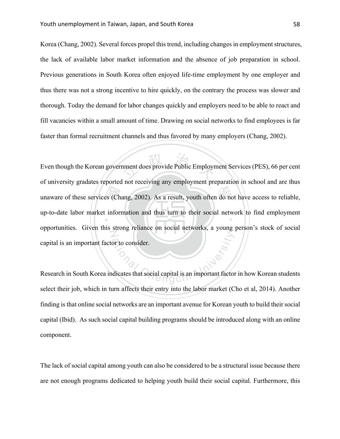Korea (Chang, 2002). Several forces propel this trend, including changes in employment structures, the lack of available labor market information and the absence of job preparation in school. Previous generations in South Korea often enjoyed life-time employment by one employer and thus there was not a strong incentive to hire quickly, on the contrary the process was slower and thorough. Today the demand for labor changes quickly and employers need to be able to react and fill vacancies within a small amount of time. Drawing on social networks to find employees is far faster than formal recruitment channels and thus favored by many employers (Chang, 2002).

unaware of these services (Chang, 2002). As a result, youth often do not have access to reliable, up-to-date labor market information and thus turn to their social network to find employment nment does provide Public Employr up-to-date labor market information and thus turn to their social network to find employment N or to consider. Even though the Korean government does provide Public Employment Services (PES), 66 per cent of university gradates reported not receiving any employment preparation in school and are thus opportunities. Given this strong reliance on social networks, a young person's stock of social capital is an important factor to consider.

Research in South Korea indicates that social capital is an important factor in how Korean students select their job, which in turn affects their entry into the labor market (Cho et al, 2014). Another finding is that online social networks are an important avenue for Korean youth to build their social capital (Ibid). As such social capital building programs should be introduced along with an online component.

The lack of social capital among youth can also be considered to be a structural issue because there are not enough programs dedicated to helping youth build their social capital. Furthermore, this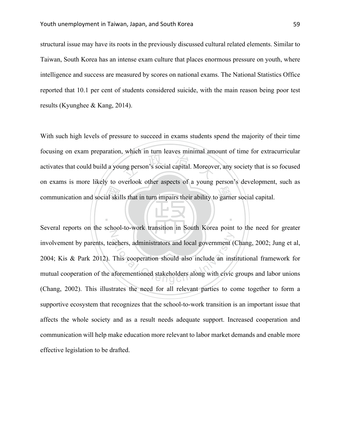structural issue may have its roots in the previously discussed cultural related elements. Similar to Taiwan, South Korea has an intense exam culture that places enormous pressure on youth, where intelligence and success are measured by scores on national exams. The National Statistics Office reported that 10.1 per cent of students considered suicide, with the main reason being poor test results (Kyunghee & Kang, 2014).

communication and social skills that in turn impairs their ability to garner social capital. and the team of the state of the team of the team of the state of the team of the team of the team of the team of the team of the team of the team of the team of the team of the team of the team of the team of the team of With such high levels of pressure to succeed in exams students spend the majority of their time focusing on exam preparation, which in turn leaves minimal amount of time for extracurricular activates that could build a young person's social capital. Moreover, any society that is so focused on exams is more likely to overlook other aspects of a young person's development, such as

‧

N achers, administrators and local government (<br>This cooperation should also include an inst<br>aforementioned stakeholders along with civic Several reports on the school-to-work transition in South Korea point to the need for greater involvement by parents, teachers, administrators and local government (Chang, 2002; Jung et al, 2004; Kis & Park 2012). This cooperation should also include an institutional framework for mutual cooperation of the aforementioned stakeholders along with civic groups and labor unions (Chang, 2002). This illustrates the need for all relevant parties to come together to form a supportive ecosystem that recognizes that the school-to-work transition is an important issue that affects the whole society and as a result needs adequate support. Increased cooperation and communication will help make education more relevant to labor market demands and enable more effective legislation to be drafted.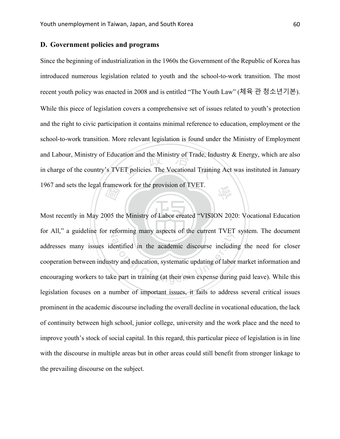#### **D. Government policies and programs**

ation and the Ministry of Trade, Ind<br>ET policies. The Vocational Trainin 學 Since the beginning of industrialization in the 1960s the Government of the Republic of Korea has introduced numerous legislation related to youth and the school-to-work transition. The most recent youth policy was enacted in 2008 and is entitled "The Youth Law" (체육 관 청소년기본). While this piece of legislation covers a comprehensive set of issues related to youth's protection and the right to civic participation it contains minimal reference to education, employment or the school-to-work transition. More relevant legislation is found under the Ministry of Employment and Labour, Ministry of Education and the Ministry of Trade, Industry & Energy, which are also in charge of the country's TVET policies. The Vocational Training Act was instituted in January 1967 and sets the legal framework for the provision of TVET.

 $\frac{d\vec{r}}{d\vec{r}}$ <br> $\frac{d\vec{r}}{d\vec{r}}$ <br> $\frac{d\vec{r}}{d\vec{r}}$ Most recently in May 2005 the Ministry of Labor created "VISION 2020: Vocational Education for All," a guideline for reforming many aspects of the current TVET system. The document efforming many aspects of the current TVET<br>lentified in the academic discourse including<br>try and education, systematic updating of labor<br>ce part in training (at their own expense during addresses many issues identified in the academic discourse including the need for closer cooperation between industry and education, systematic updating of labor market information and encouraging workers to take part in training (at their own expense during paid leave). While this legislation focuses on a number of important issues, it fails to address several critical issues prominent in the academic discourse including the overall decline in vocational education, the lack of continuity between high school, junior college, university and the work place and the need to improve youth's stock of social capital. In this regard, this particular piece of legislation is in line with the discourse in multiple areas but in other areas could still benefit from stronger linkage to the prevailing discourse on the subject.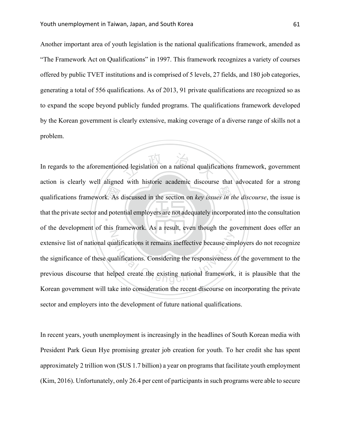Another important area of youth legislation is the national qualifications framework, amended as "The Framework Act on Qualifications" in 1997. This framework recognizes a variety of courses offered by public TVET institutions and is comprised of 5 levels, 27 fields, and 180 job categories, generating a total of 556 qualifications. As of 2013, 91 private qualifications are recognized so as to expand the scope beyond publicly funded programs. The qualifications framework developed by the Korean government is clearly extensive, making coverage of a diverse range of skills not a problem.

qualifications framework. As discussed in the section on *key issues in the discourse*, the issue is that the private sector and potential employers are not adequately incorporated into the consultation ed legislation on a national qualific that the private sector and potential employers are not adequately incorporated into the consultation N aalifications it remains ineffective because emparatifications. Considering the responsiveness of elped create the existing national framework, In regards to the aforementioned legislation on a national qualifications framework, government action is clearly well aligned with historic academic discourse that advocated for a strong of the development of this framework. As a result, even though the government does offer an extensive list of national qualifications it remains ineffective because employers do not recognize the significance of these qualifications. Considering the responsiveness of the government to the previous discourse that helped create the existing national framework, it is plausible that the Korean government will take into consideration the recent discourse on incorporating the private sector and employers into the development of future national qualifications.

In recent years, youth unemployment is increasingly in the headlines of South Korean media with President Park Geun Hye promising greater job creation for youth. To her credit she has spent approximately 2 trillion won (\$US 1.7 billion) a year on programs that facilitate youth employment (Kim, 2016). Unfortunately, only 26.4 per cent of participants in such programs were able to secure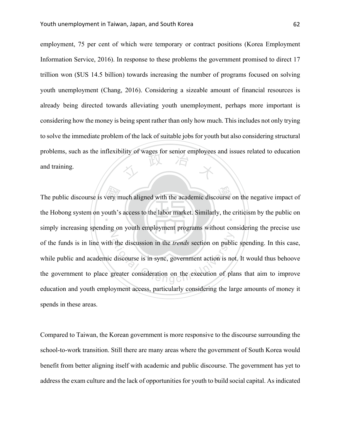<sup>立</sup> <sup>政</sup> <sup>治</sup> <sup>大</sup> employment, 75 per cent of which were temporary or contract positions (Korea Employment Information Service, 2016). In response to these problems the government promised to direct 17 trillion won (\$US 14.5 billion) towards increasing the number of programs focused on solving youth unemployment (Chang, 2016). Considering a sizeable amount of financial resources is already being directed towards alleviating youth unemployment, perhaps more important is considering how the money is being spent rather than only how much. This includes not only trying to solve the immediate problem of the lack of suitable jobs for youth but also considering structural problems, such as the inflexibility of wages for senior employees and issues related to education and training.

very m<br>outh's The public discourse is very much aligned with the academic discourse on the negative impact of the Hobong system on youth's access to the labor market. Similarly, the criticism by the public on Z The discussion in the *trends* section on public<br>discourse is in sync, government action is not<br>greater consideration on the execution of pla simply increasing spending on youth employment programs without considering the precise use of the funds is in line with the discussion in the *trends* section on public spending. In this case, while public and academic discourse is in sync, government action is not. It would thus behoove the government to place greater consideration on the execution of plans that aim to improve education and youth employment access, particularly considering the large amounts of money it spends in these areas.

Compared to Taiwan, the Korean government is more responsive to the discourse surrounding the school-to-work transition. Still there are many areas where the government of South Korea would benefit from better aligning itself with academic and public discourse. The government has yet to address the exam culture and the lack of opportunities for youth to build social capital. As indicated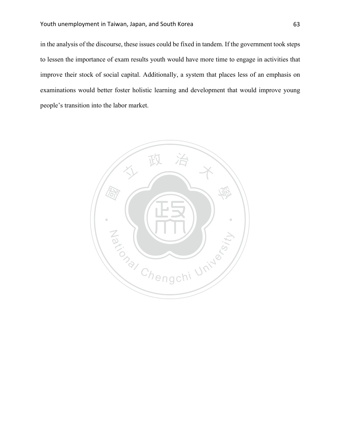in the analysis of the discourse, these issues could be fixed in tandem. If the government took steps to lessen the importance of exam results youth would have more time to engage in activities that improve their stock of social capital. Additionally, a system that places less of an emphasis on examinations would better foster holistic learning and development that would improve young people's transition into the labor market.

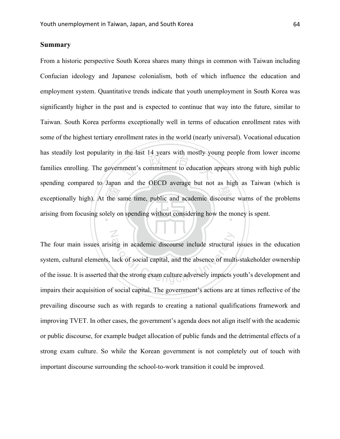N

### **Summary**

exceptionally high). At the same time, public and academic discourse warns of the problems<br>arising from focusing solely on spending without considering how the money is spent. the fast 14 years with mostly you arising from focusing solely on spending without considering how the money is spent. From a historic perspective South Korea shares many things in common with Taiwan including Confucian ideology and Japanese colonialism, both of which influence the education and employment system. Quantitative trends indicate that youth unemployment in South Korea was significantly higher in the past and is expected to continue that way into the future, similar to Taiwan. South Korea performs exceptionally well in terms of education enrollment rates with some of the highest tertiary enrollment rates in the world (nearly universal). Vocational education has steadily lost popularity in the last 14 years with mostly young people from lower income families enrolling. The government's commitment to education appears strong with high public spending compared to Japan and the OECD average but not as high as Taiwan (which is

ing in academic discourse include structural<br>lack of social capital, and the absence of mult<br>nat the strong exam culture adversely impacts y The four main issues arising in academic discourse include structural issues in the education system, cultural elements, lack of social capital, and the absence of multi-stakeholder ownership of the issue. It is asserted that the strong exam culture adversely impacts youth's development and impairs their acquisition of social capital. The government's actions are at times reflective of the prevailing discourse such as with regards to creating a national qualifications framework and improving TVET. In other cases, the government's agenda does not align itself with the academic or public discourse, for example budget allocation of public funds and the detrimental effects of a strong exam culture. So while the Korean government is not completely out of touch with important discourse surrounding the school-to-work transition it could be improved.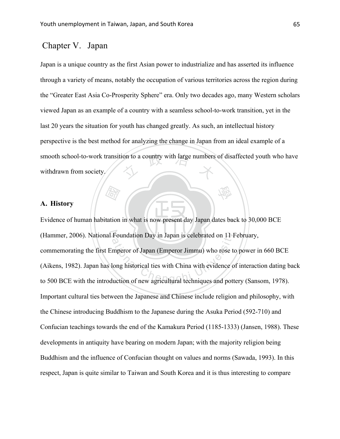# Chapter V. Japan

smooth school-to-work transition to a country with large numbers of disaffected youth who have withdrawn from society. Japan is a unique country as the first Asian power to industrialize and has asserted its influence through a variety of means, notably the occupation of various territories across the region during the "Greater East Asia Co-Prosperity Sphere" era. Only two decades ago, many Western scholars viewed Japan as an example of a country with a seamless school-to-work transition, yet in the last 20 years the situation for youth has changed greatly. As such, an intellectual history perspective is the best method for analyzing the change in Japan from an ideal example of a withdrawn from society.

學

#### **A. History**

t: (Ferry)<br>tation Evidence of human habitation in what is now present day Japan dates back to 30,000 BCE (Hammer, 2006). National Foundation Day in Japan is celebrated on 11 February, Foundation Day in Japan is celebrated on 11 F<br>mperor of Japan (Emperor Jimmu) who rose to<br>long historical ties with China with evidence of<br>luction of new agricultural techniques and pott commemorating the first Emperor of Japan (Emperor Jimmu) who rose to power in 660 BCE (Aikens, 1982). Japan has long historical ties with China with evidence of interaction dating back to 500 BCE with the introduction of new agricultural techniques and pottery (Sansom, 1978). Important cultural ties between the Japanese and Chinese include religion and philosophy, with the Chinese introducing Buddhism to the Japanese during the Asuka Period (592-710) and Confucian teachings towards the end of the Kamakura Period (1185-1333) (Jansen, 1988). These developments in antiquity have bearing on modern Japan; with the majority religion being Buddhism and the influence of Confucian thought on values and norms (Sawada, 1993). In this respect, Japan is quite similar to Taiwan and South Korea and it is thus interesting to compare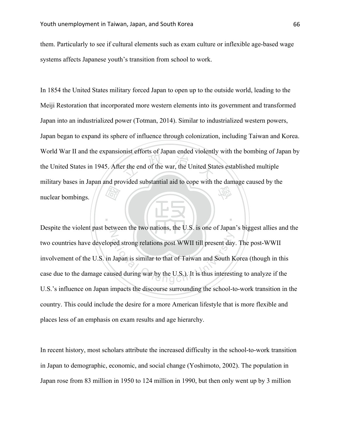them. Particularly to see if cultural elements such as exam culture or inflexible age-based wage systems affects Japanese youth's transition from school to work.

 國 expanding the United State<br>of the war, the United State 學 In 1854 the United States military forced Japan to open up to the outside world, leading to the Meiji Restoration that incorporated more western elements into its government and transformed Japan into an industrialized power (Totman, 2014). Similar to industrialized western powers, Japan began to expand its sphere of influence through colonization, including Taiwan and Korea. World War II and the expansionist efforts of Japan ended violently with the bombing of Japan by the United States in 1945. After the end of the war, the United States established multiple military bases in Japan and provided substantial aid to cope with the damage caused by the nuclear bombings.

N ational Cheng relations post WWII till present day<br>Japan is similar to that of Taiwan and South K<br>sed during war by the U.S.). It is thus interesti Despite the violent past between the two nations, the U.S. is one of Japan's biggest allies and the two countries have developed strong relations post WWII till present day. The post-WWII involvement of the U.S. in Japan is similar to that of Taiwan and South Korea (though in this case due to the damage caused during war by the U.S.). It is thus interesting to analyze if the U.S.'s influence on Japan impacts the discourse surrounding the school-to-work transition in the country. This could include the desire for a more American lifestyle that is more flexible and places less of an emphasis on exam results and age hierarchy.

‧

In recent history, most scholars attribute the increased difficulty in the school-to-work transition in Japan to demographic, economic, and social change (Yoshimoto, 2002). The population in Japan rose from 83 million in 1950 to 124 million in 1990, but then only went up by 3 million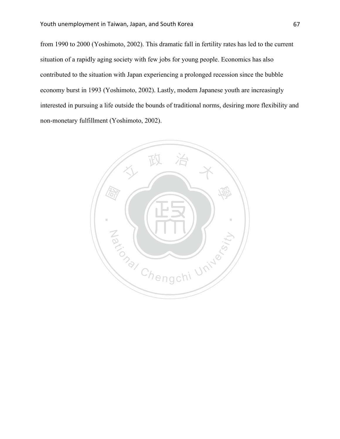from 1990 to 2000 (Yoshimoto, 2002). This dramatic fall in fertility rates has led to the current situation of a rapidly aging society with few jobs for young people. Economics has also contributed to the situation with Japan experiencing a prolonged recession since the bubble economy burst in 1993 (Yoshimoto, 2002). Lastly, modern Japanese youth are increasingly interested in pursuing a life outside the bounds of traditional norms, desiring more flexibility and non-monetary fulfillment (Yoshimoto, 2002).

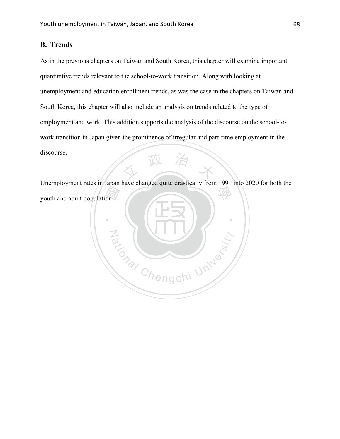## **B. Trends**

人 政 治 木 As in the previous chapters on Taiwan and South Korea, this chapter will examine important quantitative trends relevant to the school-to-work transition. Along with looking at unemployment and education enrollment trends, as was the case in the chapters on Taiwan and South Korea, this chapter will also include an analysis on trends related to the type of employment and work. This addition supports the analysis of the discourse on the school-towork transition in Japan given the prominence of irregular and part-time employment in the discourse.

學 Unemployment rates in Japan have changed quite drastically from 1991 into 2020 for both the youth and adult population.

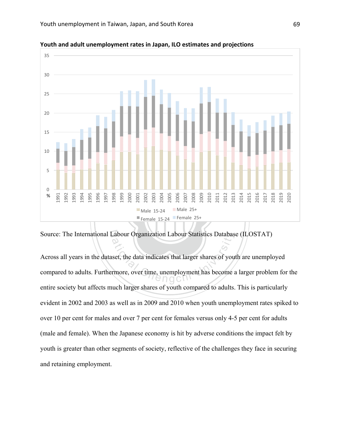

**Youth and adult unemployment rates in Japan, ILO estimates and projections** 

Source: The International Labour Organization Labour Statistics Database (ILOSTAT)

Abour Organization Labour Statistics Databas<br>set, the data indicates that larger shares of your<br>trence, over time, unemployment has become a Across all years in the dataset, the data indicates that larger shares of youth are unemployed compared to adults. Furthermore, over time, unemployment has become a larger problem for the entire society but affects much larger shares of youth compared to adults. This is particularly evident in 2002 and 2003 as well as in 2009 and 2010 when youth unemployment rates spiked to over 10 per cent for males and over 7 per cent for females versus only 4-5 per cent for adults (male and female). When the Japanese economy is hit by adverse conditions the impact felt by youth is greater than other segments of society, reflective of the challenges they face in securing and retaining employment.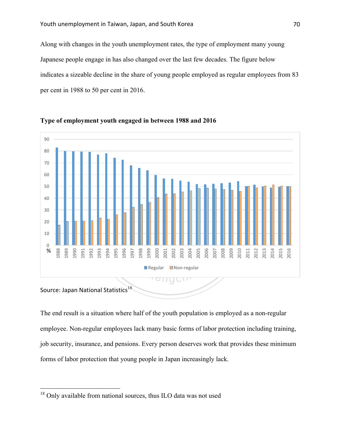Along with changes in the youth unemployment rates, the type of employment many young Japanese people engage in has also changed over the last few decades. The figure below indicates a sizeable decline in the share of young people employed as regular employees from 83 per cent in 1988 to 50 per cent in 2016.





The end result is a situation where half of the youth population is employed as a non-regular employee. Non-regular employees lack many basic forms of labor protection including training, job security, insurance, and pensions. Every person deserves work that provides these minimum forms of labor protection that young people in Japan increasingly lack.

<sup>&</sup>lt;sup>18</sup> Only available from national sources, thus ILO data was not used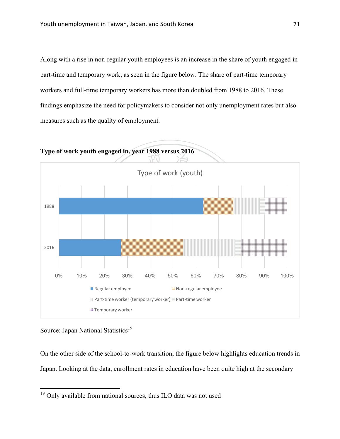Along with a rise in non-regular youth employees is an increase in the share of youth engaged in part-time and temporary work, as seen in the figure below. The share of part-time temporary workers and full-time temporary workers has more than doubled from 1988 to 2016. These findings emphasize the need for policymakers to consider not only unemployment rates but also measures such as the quality of employment.





Source: Japan National Statistics<sup>19</sup>

On the other side of the school-to-work transition, the figure below highlights education trends in Japan. Looking at the data, enrollment rates in education have been quite high at the secondary

<sup>&</sup>lt;sup>19</sup> Only available from national sources, thus ILO data was not used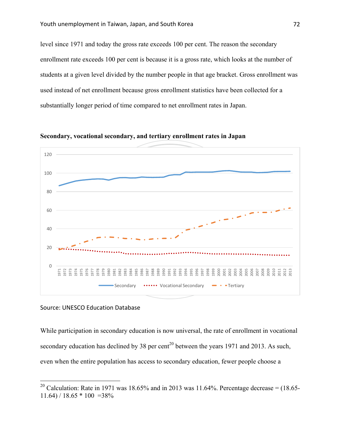level since 1971 and today the gross rate exceeds 100 per cent. The reason the secondary enrollment rate exceeds 100 per cent is because it is a gross rate, which looks at the number of students at a given level divided by the number people in that age bracket. Gross enrollment was used instead of net enrollment because gross enrollment statistics have been collected for a substantially longer period of time compared to net enrollment rates in Japan.



**Secondary, vocational secondary, and tertiary enrollment rates in Japan**

#### Source: UNESCO Education Database

While participation in secondary education is now universal, the rate of enrollment in vocational secondary education has declined by 38 per cent<sup>20</sup> between the years 1971 and 2013. As such, even when the entire population has access to secondary education, fewer people choose a

<sup>&</sup>lt;sup>20</sup> Calculation: Rate in 1971 was 18.65% and in 2013 was 11.64%. Percentage decrease =  $(18.65 11.64$ ) / 18.65  $*$  100 = 38%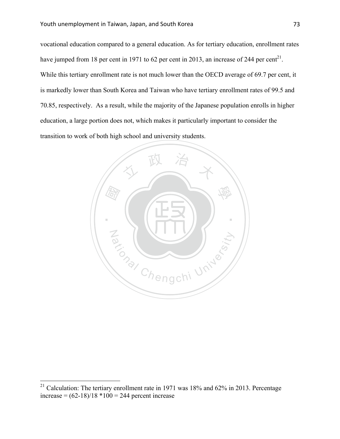vocational education compared to a general education. As for tertiary education, enrollment rates have jumped from 18 per cent in 1971 to 62 per cent in 2013, an increase of 244 per cent<sup>21</sup>. While this tertiary enrollment rate is not much lower than the OECD average of 69.7 per cent, it is markedly lower than South Korea and Taiwan who have tertiary enrollment rates of 99.5 and 70.85, respectively. As a result, while the majority of the Japanese population enrolls in higher education, a large portion does not, which makes it particularly important to consider the transition to work of both high school and university students.



<sup>&</sup>lt;sup>21</sup> Calculation: The tertiary enrollment rate in 1971 was 18% and 62% in 2013. Percentage increase =  $(62-18)/18 * 100 = 244$  percent increase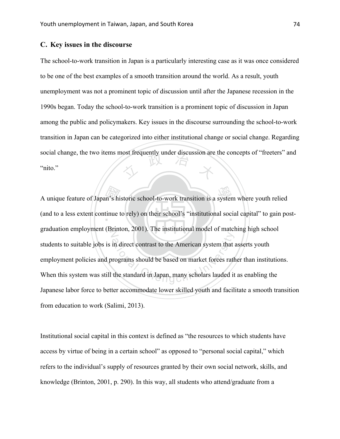# **C. Key issues in the discourse**

social change, the two items most frequently under discussion are the concepts of "freeters" and "nito." The school-to-work transition in Japan is a particularly interesting case as it was once considered to be one of the best examples of a smooth transition around the world. As a result, youth unemployment was not a prominent topic of discussion until after the Japanese recession in the 1990s began. Today the school-to-work transition is a prominent topic of discussion in Japan among the public and policymakers. Key issues in the discourse surrounding the school-to-work transition in Japan can be categorized into either institutional change or social change. Regarding "nito."

A unique feature of Japan's historic school-to-work transition is a system where youth relied (and to a less extent continue to rely) on their school's "institutional social capital" to gain po (and to a less extent continue to rely) on their school's "institutional social capital" to gain postgraduation employment (Brinton, 2001). The institutional model of matching high school in direct contrast to the American system that a<br>rograms should be based on market forces rath<br>the standard in Japan, many scholars lauded it students to suitable jobs is in direct contrast to the American system that asserts youth employment policies and programs should be based on market forces rather than institutions. When this system was still the standard in Japan, many scholars lauded it as enabling the Japanese labor force to better accommodate lower skilled youth and facilitate a smooth transition from education to work (Salimi, 2013).

Institutional social capital in this context is defined as "the resources to which students have access by virtue of being in a certain school" as opposed to "personal social capital," which refers to the individual's supply of resources granted by their own social network, skills, and knowledge (Brinton, 2001, p. 290). In this way, all students who attend/graduate from a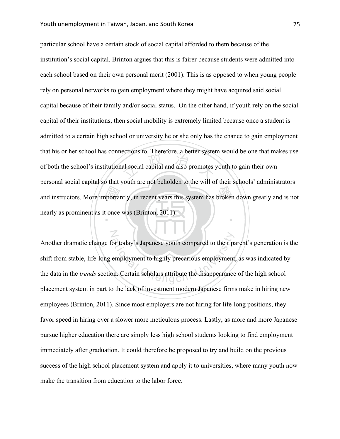N

and instructors. More importantly, in recent years this system has broken down greatly and is not<br>nearly as prominent as it once was (Brinton, 2011). al social capital and also promotes ‧ particular school have a certain stock of social capital afforded to them because of the institution's social capital. Brinton argues that this is fairer because students were admitted into each school based on their own personal merit (2001). This is as opposed to when young people rely on personal networks to gain employment where they might have acquired said social capital because of their family and/or social status. On the other hand, if youth rely on the social capital of their institutions, then social mobility is extremely limited because once a student is admitted to a certain high school or university he or she only has the chance to gain employment that his or her school has connections to. Therefore, a better system would be one that makes use of both the school's institutional social capital and also promotes youth to gain their own personal social capital so that youth are not beholden to the will of their schools' administrators nearly as prominent as it once was (Brinton, 2011).

or today's Japanese youth compared to their pa<br>employment to highly precarious employment<br>on. Certain scholars attribute the disappearance Another dramatic change for today's Japanese youth compared to their parent's generation is the shift from stable, life-long employment to highly precarious employment, as was indicated by the data in the *trends* section. Certain scholars attribute the disappearance of the high school placement system in part to the lack of investment modern Japanese firms make in hiring new employees (Brinton, 2011). Since most employers are not hiring for life-long positions, they favor speed in hiring over a slower more meticulous process. Lastly, as more and more Japanese pursue higher education there are simply less high school students looking to find employment immediately after graduation. It could therefore be proposed to try and build on the previous success of the high school placement system and apply it to universities, where many youth now make the transition from education to the labor force.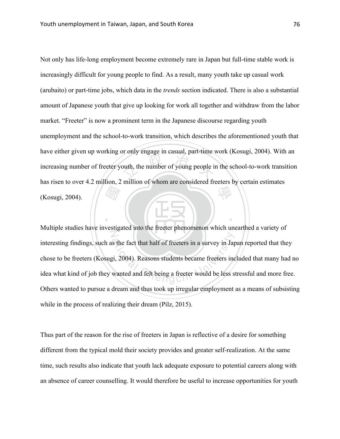國 buth, the number of young people in 學 Not only has life-long employment become extremely rare in Japan but full-time stable work is increasingly difficult for young people to find. As a result, many youth take up casual work (arubaito) or part-time jobs, which data in the *trends* section indicated. There is also a substantial amount of Japanese youth that give up looking for work all together and withdraw from the labor market. "Freeter" is now a prominent term in the Japanese discourse regarding youth unemployment and the school-to-work transition, which describes the aforementioned youth that have either given up working or only engage in casual, part-time work (Kosugi, 2004). With an increasing number of freeter youth, the number of young people in the school-to-work transition has risen to over 4.2 million, 2 million of whom are considered freeters by certain estimates (Kosugi, 2004).

N s the fact that half of freeters in a survey in Jap<br>
gi, 2004). Reasons students became freeters incovanted and felt being a freeter would be less s Multiple studies have investigated into the freeter phenomenon which unearthed a variety of interesting findings, such as the fact that half of freeters in a survey in Japan reported that they chose to be freeters (Kosugi, 2004). Reasons students became freeters included that many had no idea what kind of job they wanted and felt being a freeter would be less stressful and more free. Others wanted to pursue a dream and thus took up irregular employment as a means of subsisting while in the process of realizing their dream (Pilz, 2015).

‧

Thus part of the reason for the rise of freeters in Japan is reflective of a desire for something different from the typical mold their society provides and greater self-realization. At the same time, such results also indicate that youth lack adequate exposure to potential careers along with an absence of career counselling. It would therefore be useful to increase opportunities for youth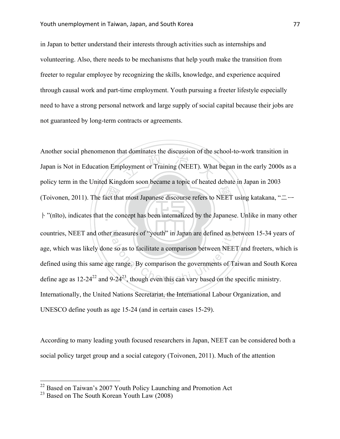in Japan to better understand their interests through activities such as internships and volunteering. Also, there needs to be mechanisms that help youth make the transition from freeter to regular employee by recognizing the skills, knowledge, and experience acquired through causal work and part-time employment. Youth pursuing a freeter lifestyle especially need to have a strong personal network and large supply of social capital because their jobs are not guaranteed by long-term contracts or agreements.

(Toivonen, 2011). The fact that most Japanese discourse refers to NEET using katakana, "ニート"(nīto), indicates that the concept has been internalized by the Japanese. Unlike in many othe bloyment or Training (NEET). What ‧ ト"(nīto), indicates that the concept has been internalized by the Japanese. Unlike in many other N countries, NEET and other measures of "youth" in Japan are defined as between 15-34 years of countries, NEET and other measures of "youth" in Japan are defined as between 15-34 year.<br>age, which was likely done so as to facilitate a comparison between NEET and freeters, wh<br>defined using this same age range. By comp Another social phenomenon that dominates the discussion of the school-to-work transition in Japan is Not in Education Employment or Training (NEET). What began in the early 2000s as a policy term in the United Kingdom soon became a topic of heated debate in Japan in 2003 age, which was likely done so as to facilitate a comparison between NEET and freeters, which is defined using this same age range. By comparison the governments of Taiwan and South Korea Internationally, the United Nations Secretariat, the International Labour Organization, and UNESCO define youth as age 15-24 (and in certain cases 15-29).

According to many leading youth focused researchers in Japan, NEET can be considered both a social policy target group and a social category (Toivonen, 2011). Much of the attention

 <sup>22</sup> Based on Taiwan's 2007 Youth Policy Launching and Promotion Act

<sup>&</sup>lt;sup>23</sup> Based on The South Korean Youth Law  $(2008)$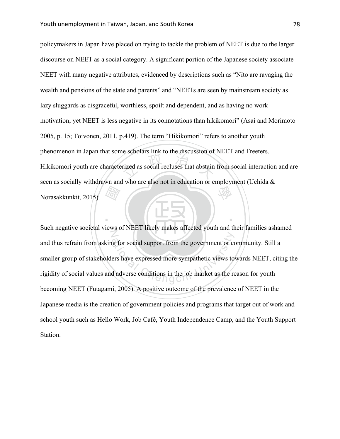國 rized as social recluses that abstain 學 policymakers in Japan have placed on trying to tackle the problem of NEET is due to the larger discourse on NEET as a social category. A significant portion of the Japanese society associate NEET with many negative attributes, evidenced by descriptions such as "Nīto are ravaging the wealth and pensions of the state and parents" and "NEETs are seen by mainstream society as lazy sluggards as disgraceful, worthless, spoilt and dependent, and as having no work motivation; yet NEET is less negative in its connotations than hikikomori" (Asai and Morimoto 2005, p. 15; Toivonen, 2011, p.419). The term "Hikikomori" refers to another youth phenomenon in Japan that some scholars link to the discussion of NEET and Freeters. Hikikomori youth are characterized as social recluses that abstain from social interaction and are seen as socially withdrawn and who are also not in education or employment (Uchida & Norasakkunkit, 2015).

N g for social support from the government or co<br>ers have expressed more sympathetic views to<br>d adverse conditions in the job market as the re Such negative societal views of NEET likely makes affected youth and their families ashamed and thus refrain from asking for social support from the government or community. Still a smaller group of stakeholders have expressed more sympathetic views towards NEET, citing the rigidity of social values and adverse conditions in the job market as the reason for youth becoming NEET (Futagami, 2005). A positive outcome of the prevalence of NEET in the Japanese media is the creation of government policies and programs that target out of work and school youth such as Hello Work, Job Café, Youth Independence Camp, and the Youth Support Station.

‧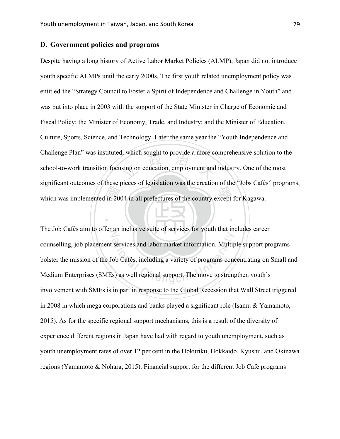# **D. Government policies and programs**

which was implemented in 2004 in all prefectures of the country except for Kagawa. which sought to provide a more contains on education, employment and Despite having a long history of Active Labor Market Policies (ALMP), Japan did not introduce youth specific ALMPs until the early 2000s. The first youth related unemployment policy was entitled the "Strategy Council to Foster a Spirit of Independence and Challenge in Youth" and was put into place in 2003 with the support of the State Minister in Charge of Economic and Fiscal Policy; the Minister of Economy, Trade, and Industry; and the Minister of Education, Culture, Sports, Science, and Technology. Later the same year the "Youth Independence and Challenge Plan" was instituted, which sought to provide a more comprehensive solution to the school-to-work transition focusing on education, employment and industry. One of the most significant outcomes of these pieces of legislation was the creation of the "Jobs Cafés" programs,

The Job Cafés aim to offer an inclusive suite of services for youth that includes career Services and labor market information. Multip<br>ob Cafés, including a variety of programs cones)<br>as well regional support. The move to streng counselling, job placement services and labor market information. Multiple support programs bolster the mission of the Job Cafés, including a variety of programs concentrating on Small and Medium Enterprises (SMEs) as well regional support. The move to strengthen youth's involvement with SMEs is in part in response to the Global Recession that Wall Street triggered in 2008 in which mega corporations and banks played a significant role (Isamu & Yamamoto, 2015). As for the specific regional support mechanisms, this is a result of the diversity of experience different regions in Japan have had with regard to youth unemployment, such as youth unemployment rates of over 12 per cent in the Hokuriku, Hokkaido, Kyushu, and Okinawa regions (Yamamoto & Nohara, 2015). Financial support for the different Job Café programs

‧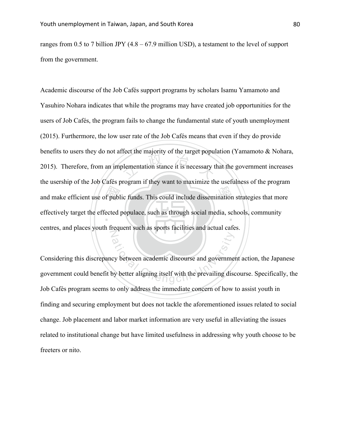ranges from 0.5 to 7 billion JPY (4.8 – 67.9 million USD), a testament to the level of support from the government.

and make efficient use of public funds. This could include dissemination strategies that more<br>effectively target the effected populace, such as through social media, schools, community blementation stance it is necessary to effectively target the effected populace, such as through social media, schools, community N Academic discourse of the Job Cafés support programs by scholars Isamu Yamamoto and Yasuhiro Nohara indicates that while the programs may have created job opportunities for the users of Job Cafés, the program fails to change the fundamental state of youth unemployment (2015). Furthermore, the low user rate of the Job Cafés means that even if they do provide benefits to users they do not affect the majority of the target population (Yamamoto & Nohara, 2015). Therefore, from an implementation stance it is necessary that the government increases the usership of the Job Cafés program if they want to maximize the usefulness of the program centres, and places youth frequent such as sports facilities and actual cafes.

ation<br>cy between academic discourse and government<br>by better aligning itself with the prevailing disc Considering this discrepancy between academic discourse and government action, the Japanese government could benefit by better aligning itself with the prevailing discourse. Specifically, the Job Cafés program seems to only address the immediate concern of how to assist youth in finding and securing employment but does not tackle the aforementioned issues related to social change. Job placement and labor market information are very useful in alleviating the issues related to institutional change but have limited usefulness in addressing why youth choose to be freeters or nito.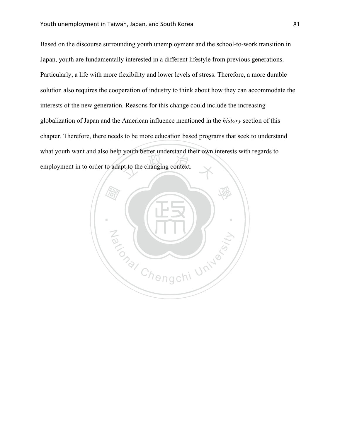pt to the changing context. Based on the discourse surrounding youth unemployment and the school-to-work transition in Japan, youth are fundamentally interested in a different lifestyle from previous generations. Particularly, a life with more flexibility and lower levels of stress. Therefore, a more durable solution also requires the cooperation of industry to think about how they can accommodate the interests of the new generation. Reasons for this change could include the increasing globalization of Japan and the American influence mentioned in the *history* section of this chapter. Therefore, there needs to be more education based programs that seek to understand what youth want and also help youth better understand their own interests with regards to employment in to order to adapt to the changing context.

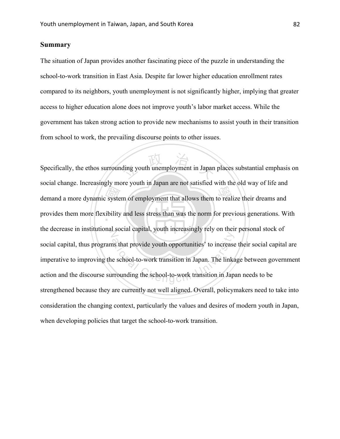# **Summary**

The situation of Japan provides another fascinating piece of the puzzle in understanding the school-to-work transition in East Asia. Despite far lower higher education enrollment rates compared to its neighbors, youth unemployment is not significantly higher, implying that greater access to higher education alone does not improve youth's labor market access. While the government has taken strong action to provide new mechanisms to assist youth in their transition from school to work, the prevailing discourse points to other issues.

demand a more dynamic system of employment that allows them to realize their dreams and<br>provides them more flexibility and less stress than was the norm for previous generations. W ding youth unemployment in Japan provides them more flexibility and less stress than was the norm for previous generations. With the decrease in institutional social capital, youth increasingly rely on their personal stock of ation in Japan. The links<br>are school-to-work transition in Japan. The links<br>rrounding the school-to-work transition in Japan Specifically, the ethos surrounding youth unemployment in Japan places substantial emphasis on social change. Increasingly more youth in Japan are not satisfied with the old way of life and social capital, thus programs that provide youth opportunities' to increase their social capital are imperative to improving the school-to-work transition in Japan. The linkage between government action and the discourse surrounding the school-to-work transition in Japan needs to be strengthened because they are currently not well aligned. Overall, policymakers need to take into consideration the changing context, particularly the values and desires of modern youth in Japan, when developing policies that target the school-to-work transition.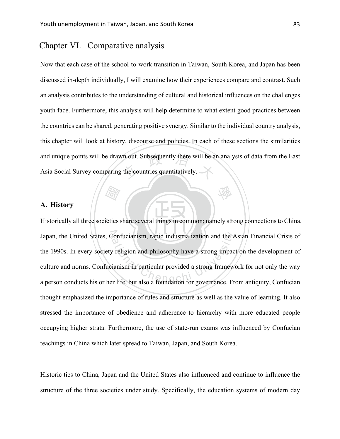# Chapter VI. Comparative analysis

and unique points will be drawn out. Subsequently there will be an analysis of data from the East<br>Asia Social Survey comparing the countries quantitatively. Now that each case of the school-to-work transition in Taiwan, South Korea, and Japan has been discussed in-depth individually, I will examine how their experiences compare and contrast. Such an analysis contributes to the understanding of cultural and historical influences on the challenges youth face. Furthermore, this analysis will help determine to what extent good practices between the countries can be shared, generating positive synergy. Similar to the individual country analysis, this chapter will look at history, discourse and policies. In each of these sections the similarities Asia Social Survey comparing the countries quantitatively.

學

# **A. History**

‧(Tay) ‧ Historically all three societies share several things in common; namely strong connections to China, Japan, the United States, Confucianism, rapid industrialization and the Asian Financial Crisis of Confucianism, rapid industrialization and the A<br>
v religion and philosophy have a strong impac<br>
ianism in particular provided a strong framew<br>
r life, but also a foundation for governance. Fr the 1990s. In every society religion and philosophy have a strong impact on the development of culture and norms. Confucianism in particular provided a strong framework for not only the way a person conducts his or her life, but also a foundation for governance. From antiquity, Confucian thought emphasized the importance of rules and structure as well as the value of learning. It also stressed the importance of obedience and adherence to hierarchy with more educated people occupying higher strata. Furthermore, the use of state-run exams was influenced by Confucian teachings in China which later spread to Taiwan, Japan, and South Korea.

Historic ties to China, Japan and the United States also influenced and continue to influence the structure of the three societies under study. Specifically, the education systems of modern day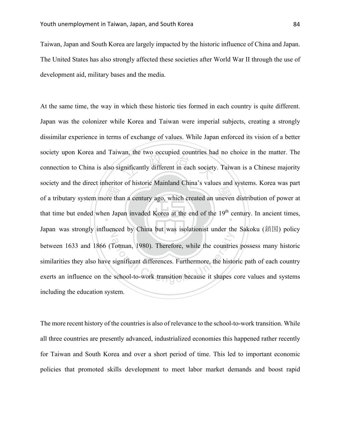Taiwan, Japan and South Korea are largely impacted by the historic influence of China and Japan. The United States has also strongly affected these societies after World War II through the use of development aid, military bases and the media.

ore that<br>en Jap an, the two occupied countries has of a tributary system more than a century ago, which created an uneven distribution of power at that time but ended when Japan invaded Korea at the end of the 19<sup>th</sup> century. In ancient times, N Japan was strongly influenced by China but was isolationist under the Sakoku (鎖国) policy Totman, 1980). Therefore, while the countrie<br>significant differences. Furthermore, the histo<br>school-to-work transition because it shapes of At the same time, the way in which these historic ties formed in each country is quite different. Japan was the colonizer while Korea and Taiwan were imperial subjects, creating a strongly dissimilar experience in terms of exchange of values. While Japan enforced its vision of a better society upon Korea and Taiwan, the two occupied countries had no choice in the matter. The connection to China is also significantly different in each society. Taiwan is a Chinese majority society and the direct inheritor of historic Mainland China's values and systems. Korea was part between 1633 and 1866 (Totman, 1980). Therefore, while the countries possess many historic similarities they also have significant differences. Furthermore, the historic path of each country exerts an influence on the school-to-work transition because it shapes core values and systems including the education system.

The more recent history of the countries is also of relevance to the school-to-work transition. While all three countries are presently advanced, industrialized economies this happened rather recently for Taiwan and South Korea and over a short period of time. This led to important economic policies that promoted skills development to meet labor market demands and boost rapid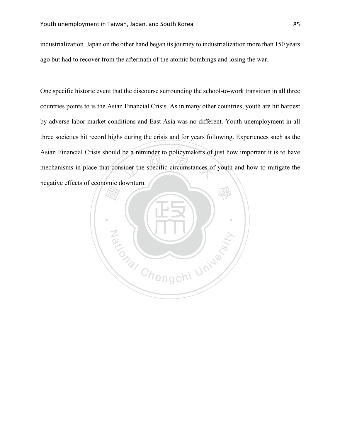industrialization. Japan on the other hand began its journey to industrialization more than 150 years ago but had to recover from the aftermath of the atomic bombings and losing the war.

be a reminder to poncymakers or y One specific historic event that the discourse surrounding the school-to-work transition in all three countries points to is the Asian Financial Crisis. As in many other countries, youth are hit hardest by adverse labor market conditions and East Asia was no different. Youth unemployment in all three societies hit record highs during the crisis and for years following. Experiences such as the Asian Financial Crisis should be a reminder to policymakers of just how important it is to have mechanisms in place that consider the specific circumstances of youth and how to mitigate the negative effects of economic downturn.

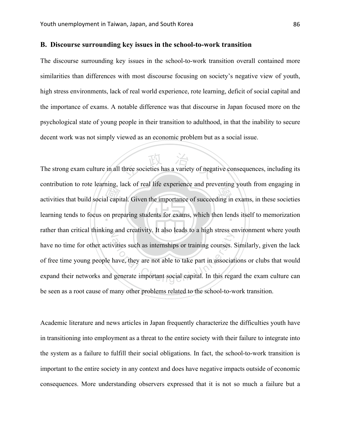## **B. Discourse surrounding key issues in the school-to-work transition**

The discourse surrounding key issues in the school-to-work transition overall contained more similarities than differences with most discourse focusing on society's negative view of youth, high stress environments, lack of real world experience, rote learning, deficit of social capital and the importance of exams. A notable difference was that discourse in Japan focused more on the psychological state of young people in their transition to adulthood, in that the inability to secure decent work was not simply viewed as an economic problem but as a social issue.

activities that build social capital. Given the importance of succeeding in exams, in these societies learning tends to focus on preparing students for exams, which then lends itself to memorization three societies has a variety of negative learning tends to focus on preparing students for exams, which then lends itself to memorization rather than critical thinking and creativity. It also leads to a high stress environment where youth vities such as internships or training courses. S<br>have, they are not able to take part in associat<br>generate important social capital. In this rega The strong exam culture in all three societies has a variety of negative consequences, including its contribution to rote learning, lack of real life experience and preventing youth from engaging in have no time for other activities such as internships or training courses. Similarly, given the lack of free time young people have, they are not able to take part in associations or clubs that would expand their networks and generate important social capital. In this regard the exam culture can be seen as a root cause of many other problems related to the school-to-work transition.

Academic literature and news articles in Japan frequently characterize the difficulties youth have in transitioning into employment as a threat to the entire society with their failure to integrate into the system as a failure to fulfill their social obligations. In fact, the school-to-work transition is important to the entire society in any context and does have negative impacts outside of economic consequences. More understanding observers expressed that it is not so much a failure but a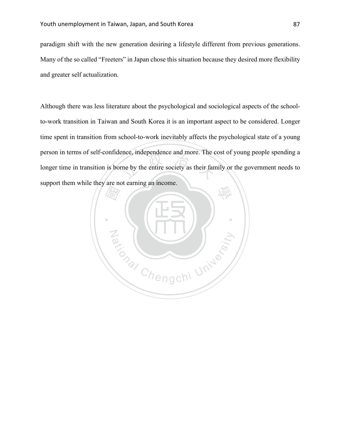paradigm shift with the new generation desiring a lifestyle different from previous generations. Many of the so called "Freeters" in Japan chose this situation because they desired more flexibility and greater self actualization.

the metal more. The comparative and more. The comparison of the entire society as their fan Although there was less literature about the psychological and sociological aspects of the schoolto-work transition in Taiwan and South Korea it is an important aspect to be considered. Longer time spent in transition from school-to-work inevitably affects the psychological state of a young person in terms of self-confidence, independence and more. The cost of young people spending a longer time in transition is borne by the entire society as their family or the government needs to support them while they are not earning an income.

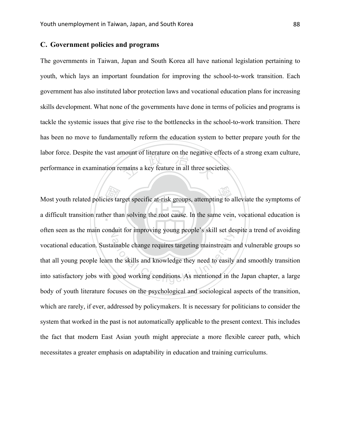# **C. Government policies and programs**

mount of interature on the negative of<br>mains a key feature in all three soci The governments in Taiwan, Japan and South Korea all have national legislation pertaining to youth, which lays an important foundation for improving the school-to-work transition. Each government has also instituted labor protection laws and vocational education plans for increasing skills development. What none of the governments have done in terms of policies and programs is tackle the systemic issues that give rise to the bottlenecks in the school-to-work transition. There has been no move to fundamentally reform the education system to better prepare youth for the labor force. Despite the vast amount of literature on the negative effects of a strong exam culture, performance in examination remains a key feature in all three societies.

Most youth related policies target specific at-risk groups, attempting to alleviate the symptoms of a difficult transition rather than solving the root cause. In the same vein, vocational education is a difficult transition rather than solving the root cause. In the same vein, vocational education is often seen as the main conduit for improving young people's skill set despite a trend of avoiding ational Chenge requires targeting mainstream at the skills and knowledge they need to easily good working conditions. As mentioned in the vocational education. Sustainable change requires targeting mainstream and vulnerable groups so that all young people learn the skills and knowledge they need to easily and smoothly transition into satisfactory jobs with good working conditions. As mentioned in the Japan chapter, a large body of youth literature focuses on the psychological and sociological aspects of the transition, which are rarely, if ever, addressed by policymakers. It is necessary for politicians to consider the system that worked in the past is not automatically applicable to the present context. This includes the fact that modern East Asian youth might appreciate a more flexible career path, which necessitates a greater emphasis on adaptability in education and training curriculums.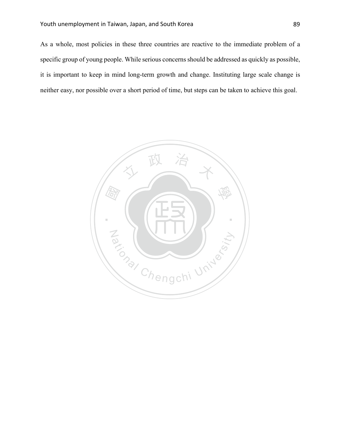As a whole, most policies in these three countries are reactive to the immediate problem of a specific group of young people. While serious concerns should be addressed as quickly as possible, it is important to keep in mind long-term growth and change. Instituting large scale change is neither easy, nor possible over a short period of time, but steps can be taken to achieve this goal.

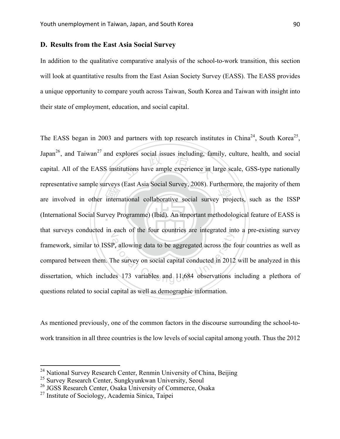# **D. Results from the East Asia Social Survey**

In addition to the qualitative comparative analysis of the school-to-work transition, this section will look at quantitative results from the East Asian Society Survey (EASS). The EASS provides a unique opportunity to compare youth across Taiwan, South Korea and Taiwan with insight into their state of employment, education, and social capital.

are involved in other international collaborative social survey projects, such as the ISSP<br>(International Social Survey Programme) (Ibid). An important methodological feature of EASS is plores social issues including, fan<br>tutions have ample experience in la ‧ (International Social Survey Programme) (Ibid). An important methodological feature of EASS is that surveys conducted in each of the four countries are integrated into a pre-existing survey P, allowing data to be aggregated across the f<br>The survey on social capital conducted in 2012<br>les 173 variables and 11,684 observations i The EASS began in 2003 and partners with top research institutes in China<sup>24</sup>, South Korea<sup>25</sup>, Japan<sup>26</sup>, and Taiwan<sup>27</sup> and explores social issues including, family, culture, health, and social capital. All of the EASS institutions have ample experience in large scale, GSS-type nationally representative sample surveys (East Asia Social Survey, 2008). Furthermore, the majority of them framework, similar to ISSP, allowing data to be aggregated across the four countries as well as compared between them. The survey on social capital conducted in 2012 will be analyzed in this dissertation, which includes 173 variables and 11,684 observations including a plethora of questions related to social capital as well as demographic information.

As mentioned previously, one of the common factors in the discourse surrounding the school-towork transition in all three countries is the low levels of social capital among youth. Thus the 2012

<sup>&</sup>lt;sup>24</sup> National Survey Research Center, Renmin University of China, Beijing

<sup>&</sup>lt;sup>25</sup> Survey Research Center, Sungkyunkwan University, Seoul

<sup>&</sup>lt;sup>26</sup> JGSS Research Center, Osaka University of Commerce, Osaka

 $^{27}$  Institute of Sociology, Academia Sinica, Taipei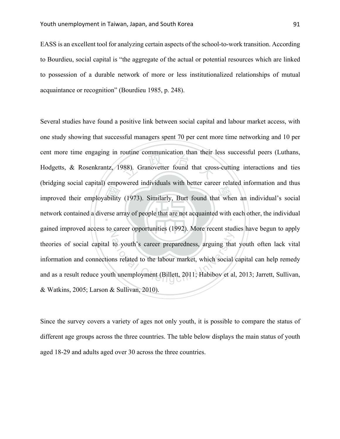EASS is an excellent tool for analyzing certain aspects of the school-to-work transition. According to Bourdieu, social capital is "the aggregate of the actual or potential resources which are linked to possession of a durable network of more or less institutionalized relationships of mutual acquaintance or recognition" (Bourdieu 1985, p. 248).

improved their employability (1973). Similarly, Burt found that when an individual's social<br>network contained a diverse array of people that are not acquainted with each other, the individual butthe communication than then<br>1988). Granovetter found that cross network contained a diverse array of people that are not acquainted with each other, the individual gained improved access to career opportunities (1992). More recent studies have begun to apply to youth's career preparedness, arguing that<br>ns related to the labour market, which social<br>th unemployment (Billett, 2011; Habibov et al Several studies have found a positive link between social capital and labour market access, with one study showing that successful managers spent 70 per cent more time networking and 10 per cent more time engaging in routine communication than their less successful peers (Luthans, Hodgetts, & Rosenkrantz, 1988). Granovetter found that cross-cutting interactions and ties (bridging social capital) empowered individuals with better career related information and thus theories of social capital to youth's career preparedness, arguing that youth often lack vital information and connections related to the labour market, which social capital can help remedy and as a result reduce youth unemployment (Billett, 2011; Habibov et al, 2013; Jarrett, Sullivan, & Watkins, 2005; Larson & Sullivan, 2010).

Since the survey covers a variety of ages not only youth, it is possible to compare the status of different age groups across the three countries. The table below displays the main status of youth aged 18-29 and adults aged over 30 across the three countries.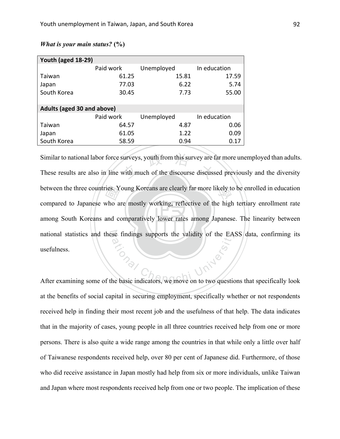| Youth (aged 18-29)                |           |            |              |  |
|-----------------------------------|-----------|------------|--------------|--|
|                                   | Paid work | Unemployed | In education |  |
| Taiwan                            | 61.25     | 15.81      | 17.59        |  |
| Japan                             | 77.03     | 6.22       | 5.74         |  |
| South Korea                       | 30.45     | 7.73       | 55.00        |  |
|                                   |           |            |              |  |
| <b>Adults (aged 30 and above)</b> |           |            |              |  |
|                                   | Paid work | Unemployed | In education |  |
| Taiwan                            | 64.57     | 4.87       | 0.06         |  |
| Japan                             | 61.05     | 1.22       | 0.09         |  |
| South Korea                       | 58.59     | 0.94       | 0.17         |  |

# *What is your main status?* **(%)**

among South Koreans and comparatively lower rates among Japanese. The linearity between ries. Y<br>who a<br>and co Similar to national labor force surveys, youth from this survey are far more unemployed than adults.<br>These results are also in line with much of the discourse discussed previously and the diversity between the three countries. Young Koreans are clearly far more likely to be enrolled in education national statistics and these findings supports the validity of the EASS data, confirming its **Ational** Similar to national labor force surveys, youth from this survey are far more unemployed than adults. compared to Japanese who are mostly working, reflective of the high tertiary enrollment rate usefulness.

After examining some of the basic indicators, we move on to two questions that specifically look at the benefits of social capital in securing employment, specifically whether or not respondents received help in finding their most recent job and the usefulness of that help. The data indicates that in the majority of cases, young people in all three countries received help from one or more persons. There is also quite a wide range among the countries in that while only a little over half of Taiwanese respondents received help, over 80 per cent of Japanese did. Furthermore, of those who did receive assistance in Japan mostly had help from six or more individuals, unlike Taiwan and Japan where most respondents received help from one or two people. The implication of these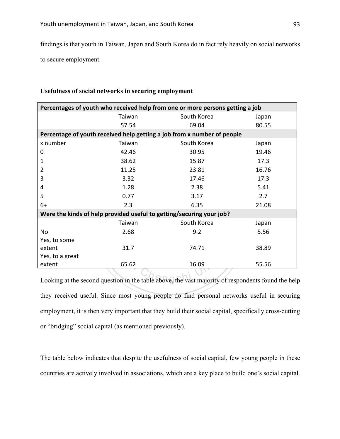findings is that youth in Taiwan, Japan and South Korea do in fact rely heavily on social networks to secure employment.

| Percentages of youth who received help from one or more persons getting a job                      |        |             |       |
|----------------------------------------------------------------------------------------------------|--------|-------------|-------|
|                                                                                                    | Taiwan | South Korea | Japan |
|                                                                                                    | 57.54  | 69.04       | 80.55 |
| Percentage of youth received help getting a job from x number of people                            |        |             |       |
| x number                                                                                           | Taiwan | South Korea | Japan |
| 0                                                                                                  | 42.46  | 30.95       | 19.46 |
| 1                                                                                                  | 38.62  | 15.87       | 17.3  |
| 2                                                                                                  | 11.25  | 23.81       | 16.76 |
| 3                                                                                                  | 3.32   | 17.46       | 17.3  |
| 4                                                                                                  | 1.28   | 2.38        | 5.41  |
| 5                                                                                                  | 0.77   | 3.17        | 2.7   |
| $6+$                                                                                               | 2.3    | 6.35        | 21.08 |
| Were the kinds of help provided useful to getting/securing your job?                               |        |             |       |
|                                                                                                    | Taiwan | South Korea | Japan |
| No                                                                                                 | 2.68   | 9.2         | 5.56  |
| Yes, to some                                                                                       |        |             |       |
| extent                                                                                             | 31.7   | 74.71       | 38.89 |
| Yes, to a great                                                                                    |        |             |       |
| extent                                                                                             | 65.62  | 16.09       | 55.56 |
|                                                                                                    |        |             |       |
| Looking at the second question in the table above, the vast majority of respondents found the help |        |             |       |

### **Usefulness of social networks in securing employment**

they received useful. Since most young people do find personal networks useful in securing employment, it is then very important that they build their social capital, specifically cross-cutting or "bridging" social capital (as mentioned previously).

The table below indicates that despite the usefulness of social capital, few young people in these countries are actively involved in associations, which are a key place to build one's social capital.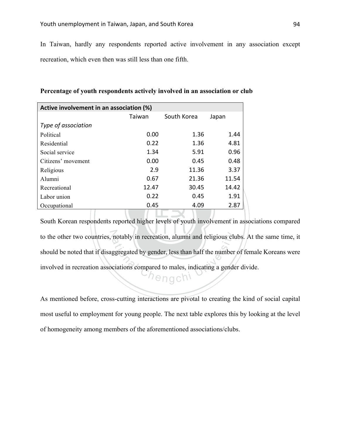In Taiwan, hardly any respondents reported active involvement in any association except recreation, which even then was still less than one fifth.

| Active involvement in an association (%)                                   |        |             |       |  |
|----------------------------------------------------------------------------|--------|-------------|-------|--|
|                                                                            | Taiwan | South Korea | Japan |  |
| Type of association                                                        |        |             |       |  |
| Political                                                                  | 0.00   | 1.36        | 1.44  |  |
| Residential                                                                | 0.22   | 1.36        | 4.81  |  |
| Social service                                                             | 1.34   | 5.91        | 0.96  |  |
| Citizens' movement                                                         | 0.00   | 0.45        | 0.48  |  |
| Religious                                                                  | 2.9    | 11.36       | 3.37  |  |
| Alumni                                                                     | 0.67   | 21.36       | 11.54 |  |
| Recreational                                                               | 12.47  | 30.45       | 14.42 |  |
| Labor union                                                                | 0.22   | 0.45        | 1.91  |  |
| Occupational                                                               | 0.45   | 4.09        | 2.87  |  |
| South Korean respondents reported higher levels of youth involvement in as |        |             |       |  |

**Percentage of youth respondents actively involved in an association or club**

‧South Korean respondents reported higher levels of youth involvement in associations compared to the other two countries, notably in recreation, alumni and religious clubs. At the same time, it should be noted that if disaggregated by gender, less than half the number of female Koreans were involved in recreation a should be noted that if disaggregated by gender, less than half the number of female Koreans were involved in recreation associations compared to males, indicating a gender divide.

As mentioned before, cross-cutting interactions are pivotal to creating the kind of social capital most useful to employment for young people. The next table explores this by looking at the level of homogeneity among members of the aforementioned associations/clubs.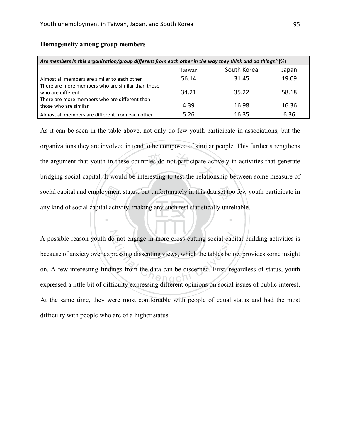| Are members in this organization/group different from each other in the way they think and do things? (%) |        |             |       |
|-----------------------------------------------------------------------------------------------------------|--------|-------------|-------|
|                                                                                                           | Taiwan | South Korea | Japan |
| Almost all members are similar to each other                                                              | 56.14  | 31.45       | 19.09 |
| There are more members who are similar than those<br>who are different                                    | 34.21  | 35.22       | 58.18 |
| There are more members who are different than<br>those who are similar                                    | 4.39   | 16.98       | 16.36 |
| Almost all members are different from each other                                                          | 5.26   | 16.35       | 6.36  |

# **Homogeneity among group members**

yment<br>1 activ the countries do not participate act<br>and be interesting to test the relation social capital and employment status, but unfortunately in this dataset too few youth participate in As it can be seen in the table above, not only do few youth participate in associations, but the organizations they are involved in tend to be composed of similar people. This further strengthens the argument that youth in these countries do not participate actively in activities that generate bridging social capital. It would be interesting to test the relationship between some measure of any kind of social capital activity, making any such test statistically unreliable.

‧

A possible reason youth do not engage in more cross-cutting social capital building activities is<br>because of anxiety over expressing dissenting views, which the tables below provides some insight<br>on. A few interesting find because of anxiety over expressing dissenting views, which the tables below provides some insight on. A few interesting findings from the data can be discerned. First, regardless of status, youth expressed a little bit of difficulty expressing different opinions on social issues of public interest. At the same time, they were most comfortable with people of equal status and had the most difficulty with people who are of a higher status.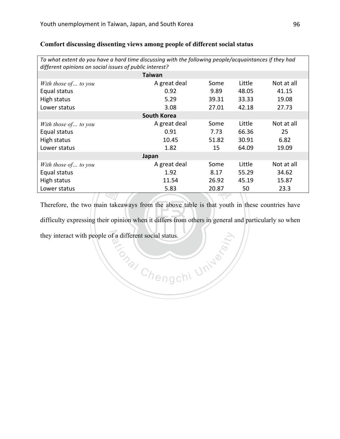| To what extent do you have a hard time discussing with the following people/acquaintances if they had<br>different opinions on social issues of public interest? |                    |       |        |            |
|------------------------------------------------------------------------------------------------------------------------------------------------------------------|--------------------|-------|--------|------------|
|                                                                                                                                                                  | <b>Taiwan</b>      |       |        |            |
| With those of to you                                                                                                                                             | A great deal       | Some  | Little | Not at all |
| Equal status                                                                                                                                                     | 0.92               | 9.89  | 48.05  | 41.15      |
| High status                                                                                                                                                      | 5.29               | 39.31 | 33.33  | 19.08      |
| Lower status                                                                                                                                                     | 3.08               | 27.01 | 42.18  | 27.73      |
|                                                                                                                                                                  | <b>South Korea</b> |       |        |            |
| With those of to you                                                                                                                                             | A great deal       | Some  | Little | Not at all |
| Equal status                                                                                                                                                     | 0.91               | 7.73  | 66.36  | 25         |
| High status                                                                                                                                                      | 10.45              | 51.82 | 30.91  | 6.82       |
| Lower status                                                                                                                                                     | 1.82               | 15    | 64.09  | 19.09      |
| Japan                                                                                                                                                            |                    |       |        |            |
| With those of to you                                                                                                                                             | A great deal       | Some  | Little | Not at all |
| Equal status                                                                                                                                                     | 1.92               | 8.17  | 55.29  | 34.62      |
| High status                                                                                                                                                      | 11.54              | 26.92 | 45.19  | 15.87      |
| Lower status                                                                                                                                                     | 5.83               | 20.87 | 50     | 23.3       |
|                                                                                                                                                                  |                    |       |        |            |

# **Comfort discussing dissenting views among people of different social status**

 $\blacksquare$ **TARY**<br>
a take<br>
ir opii difficulty expressing their opinion when it differs from others in general and particularly so when they interact with people of a different social status. **Primeri University** Therefore, the two main takeaways from the above table is that youth in these countries have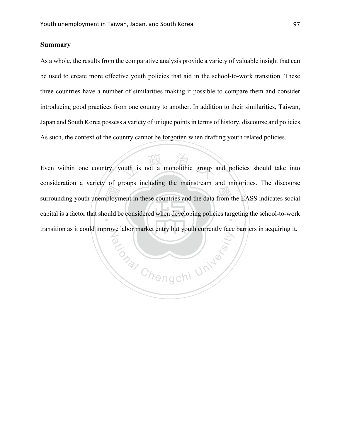# **Summary**

As a whole, the results from the comparative analysis provide a variety of valuable insight that can be used to create more effective youth policies that aid in the school-to-work transition. These three countries have a number of similarities making it possible to compare them and consider introducing good practices from one country to another. In addition to their similarities, Taiwan, Japan and South Korea possess a variety of unique points in terms of history, discourse and policies. As such, the context of the country cannot be forgotten when drafting youth related policies.

Surrounding youth unemployment in these countries and the data from the EASS indicates social<br>capital is a factor that should be considered when developing policies targeting the school-to-work outh is not a monolithic group capital is a factor that should be considered when developing policies targeting the school-to-work No Management University Even within one country, youth is not a monolithic group and policies should take into consideration a variety of groups including the mainstream and minorities. The discourse transition as it could improve labor market entry but youth currently face barriers in acquiring it.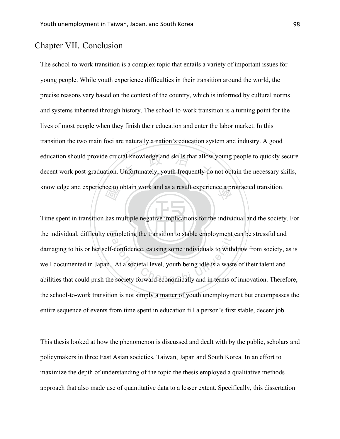# Chapter VII. Conclusion

ial knowledge and skills that allow<br>Jnfortunately, youth frequently do knowledge and experience to obtain work and as a result experience a protracted transition. The school-to-work transition is a complex topic that entails a variety of important issues for young people. While youth experience difficulties in their transition around the world, the precise reasons vary based on the context of the country, which is informed by cultural norms and systems inherited through history. The school-to-work transition is a turning point for the lives of most people when they finish their education and enter the labor market. In this transition the two main foci are naturally a nation's education system and industry. A good education should provide crucial knowledge and skills that allow young people to quickly secure decent work post-graduation. Unfortunately, youth frequently do not obtain the necessary skills,

‧ $\frac{\text{ce to}}{\text{tan}}$ <br>has m Time spent in transition has multiple negative implications for the individual and the society. For the individual, difficulty completing the transition to stable employment can be stressful and the individual, difficulty completing the transition to stable employment can be stressful and<br>damaging to his or her self-confidence, causing some individuals to withdraw from society, as is<br>well documented in Japan. At a damaging to his or her self-confidence, causing some individuals to withdraw from society, as is well documented in Japan. At a societal level, youth being idle is a waste of their talent and the school-to-work transition is not simply a matter of youth unemployment but encompasses the entire sequence of events from time spent in education till a person's first stable, decent job.

This thesis looked at how the phenomenon is discussed and dealt with by the public, scholars and policymakers in three East Asian societies, Taiwan, Japan and South Korea. In an effort to maximize the depth of understanding of the topic the thesis employed a qualitative methods approach that also made use of quantitative data to a lesser extent. Specifically, this dissertation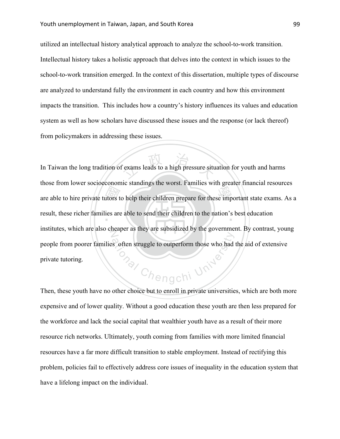utilized an intellectual history analytical approach to analyze the school-to-work transition. Intellectual history takes a holistic approach that delves into the context in which issues to the school-to-work transition emerged. In the context of this dissertation, multiple types of discourse are analyzed to understand fully the environment in each country and how this environment impacts the transition. This includes how a country's history influences its values and education system as well as how scholars have discussed these issues and the response (or lack thereof) from policymakers in addressing these issues.

**Exercise State**<br> **Exercise State** exams leads to a high pressure situ are able to hire private tutors to help their children prepare for these important state exams. As a result, these richer families are able to send their children to the nation's best education institutes, which are also cheaper as they are subsidized by the government. By contrast, young **ONAL Chengchi University** In Taiwan the long tradition of exams leads to a high pressure situation for youth and harms those from lower socioeconomic standings the worst. Families with greater financial resources people from poorer families often struggle to outperform those who had the aid of extensive private tutoring.

Then, these youth have no other choice but to enroll in private universities, which are both more expensive and of lower quality. Without a good education these youth are then less prepared for the workforce and lack the social capital that wealthier youth have as a result of their more resource rich networks. Ultimately, youth coming from families with more limited financial resources have a far more difficult transition to stable employment. Instead of rectifying this problem, policies fail to effectively address core issues of inequality in the education system that have a lifelong impact on the individual.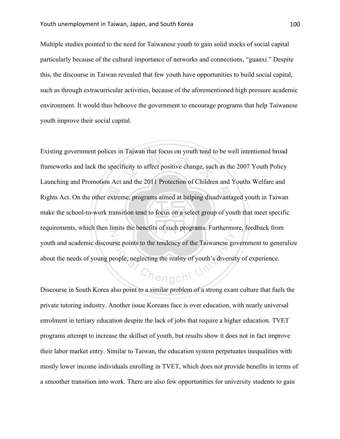Multiple studies pointed to the need for Taiwanese youth to gain solid stocks of social capital particularly because of the cultural importance of networks and connections, "guanxi." Despite this, the discourse in Taiwan revealed that few youth have opportunities to build social capital, such as through extracurricular activities, because of the aforementioned high pressure academic environment. It would thus behoove the government to encourage programs that help Taiwanese youth improve their social capital.

Rights Act. On the other extreme, programs aimed at helping disadvantaged youth in Taiwan<br>make the school-to-work transition tend to focus on a select group of youth that meet specific France and tools on your tend to<br>ficity to affect positive change, such make the school-to-work transition tend to focus on a select group of youth that meet specific N The points to the tendency of the Taiwanese got<br>
eople, neglecting the reality of youth's diversity<br>  $\bigcap_{i=1}^{\infty}$ Existing government polices in Taiwan that focus on youth tend to be well intentioned broad frameworks and lack the specificity to affect positive change, such as the 2007 Youth Policy Launching and Promotion Act and the 2011 Protection of Children and Youths Welfare and requirements, which then limits the benefits of such programs. Furthermore, feedback from youth and academic discourse points to the tendency of the Taiwanese government to generalize about the needs of young people, neglecting the reality of youth's diversity of experience.

Discourse in South Korea also point to a similar problem of a strong exam culture that fuels the private tutoring industry. Another issue Koreans face is over education, with nearly universal enrolment in tertiary education despite the lack of jobs that require a higher education. TVET programs attempt to increase the skillset of youth, but results show it does not in fact improve their labor market entry. Similar to Taiwan, the education system perpetuates inequalities with mostly lower income individuals enrolling in TVET, which does not provide benefits in terms of a smoother transition into work. There are also few opportunities for university students to gain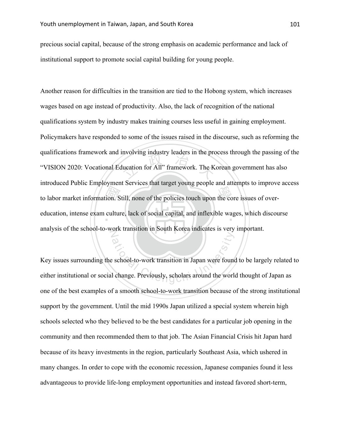precious social capital, because of the strong emphasis on academic performance and lack of institutional support to promote social capital building for young people.

to labor market information. Still, none of the policies touch upon the core issues of over-<br>education, intense exam culture, lack of social capital, and inflexible wages, which discou hivorving mausuly readers in the production for All" framework. The K education, intense exam culture, lack of social capital, and inflexible wages, which discourse analysis of the school-to-work transition in South Korea indicates is very important. Another reason for difficulties in the transition are tied to the Hobong system, which increases wages based on age instead of productivity. Also, the lack of recognition of the national qualifications system by industry makes training courses less useful in gaining employment. Policymakers have responded to some of the issues raised in the discourse, such as reforming the qualifications framework and involving industry leaders in the process through the passing of the "VISION 2020: Vocational Education for All" framework. The Korean government has also introduced Public Employment Services that target young people and attempts to improve access

ational Chenge Chengchi University<br>Chenge Chenge Chengchi University, scholars around the world Key issues surrounding the school-to-work transition in Japan were found to be largely related to either institutional or social change. Previously, scholars around the world thought of Japan as one of the best examples of a smooth school-to-work transition because of the strong institutional support by the government. Until the mid 1990s Japan utilized a special system wherein high schools selected who they believed to be the best candidates for a particular job opening in the community and then recommended them to that job. The Asian Financial Crisis hit Japan hard because of its heavy investments in the region, particularly Southeast Asia, which ushered in many changes. In order to cope with the economic recession, Japanese companies found it less advantageous to provide life-long employment opportunities and instead favored short-term,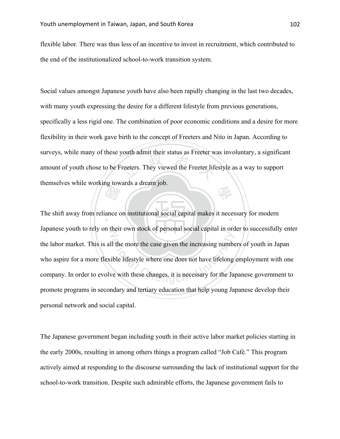flexible labor. There was thus less of an incentive to invest in recruitment, which contributed to the end of the institutionalized school-to-work transition system.

Free terms. They viewed the Free terms in the two settles where the status as Free terms. 學 Social values amongst Japanese youth have also been rapidly changing in the last two decades, with many youth expressing the desire for a different lifestyle from previous generations, specifically a less rigid one. The combination of poor economic conditions and a desire for more flexibility in their work gave birth to the concept of Freeters and Nito in Japan. According to surveys, while many of these youth admit their status as Freeter was involuntary, a significant amount of youth chose to be Freeters. They viewed the Freeter lifestyle as a way to support themselves while working towards a dream job.

**REAT**<br>ance of The shift away from reliance on institutional social capital makes it necessary for modern N Japanese youth to rely on their own stock of personal social capital in order to successfully enter I the more the case given the increasing number<br>ible lifestyle where one does not have lifelong<br>re with these changes, it is necessary for the Jap the labor market. This is all the more the case given the increasing numbers of youth in Japan who aspire for a more flexible lifestyle where one does not have lifelong employment with one company. In order to evolve with these changes, it is necessary for the Japanese government to promote programs in secondary and tertiary education that help young Japanese develop their personal network and social capital.

The Japanese government began including youth in their active labor market policies starting in the early 2000s, resulting in among others things a program called "Job Café." This program actively aimed at responding to the discourse surrounding the lack of institutional support for the school-to-work transition. Despite such admirable efforts, the Japanese government fails to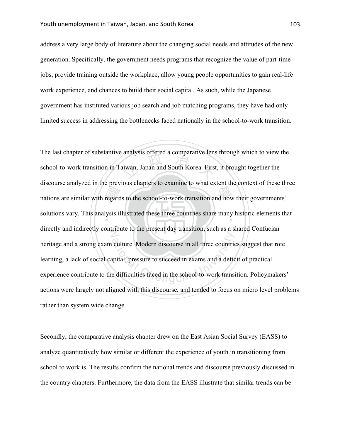address a very large body of literature about the changing social needs and attitudes of the new generation. Specifically, the government needs programs that recognize the value of part-time jobs, provide training outside the workplace, allow young people opportunities to gain real-life work experience, and chances to build their social capital. As such, while the Japanese government has instituted various job search and job matching programs, they have had only limited success in addressing the bottlenecks faced nationally in the school-to-work transition.

mations are similar with regards to the school-to-work transition and how their governments'<br>solutions vary. This analysis illustrated these three countries share many historic elements that analysis offered a comparative fens<br>aiwan, Japan and South Korea. First solutions vary. This analysis illustrated these three countries share many historic elements that directly and indirectly contribute to the present day transition, such as a shared Confucian culture. Modern discourse in all three countries<br>upital, pressure to succeed in exams and a defice<br>e difficulties faced in the school-to-work transi The last chapter of substantive analysis offered a comparative lens through which to view the school-to-work transition in Taiwan, Japan and South Korea. First, it brought together the discourse analyzed in the previous chapters to examine to what extent the context of these three heritage and a strong exam culture. Modern discourse in all three countries suggest that rote learning, a lack of social capital, pressure to succeed in exams and a deficit of practical experience contribute to the difficulties faced in the school-to-work transition. Policymakers' actions were largely not aligned with this discourse, and tended to focus on micro level problems rather than system wide change.

Secondly, the comparative analysis chapter drew on the East Asian Social Survey (EASS) to analyze quantitatively how similar or different the experience of youth in transitioning from school to work is. The results confirm the national trends and discourse previously discussed in the country chapters. Furthermore, the data from the EASS illustrate that similar trends can be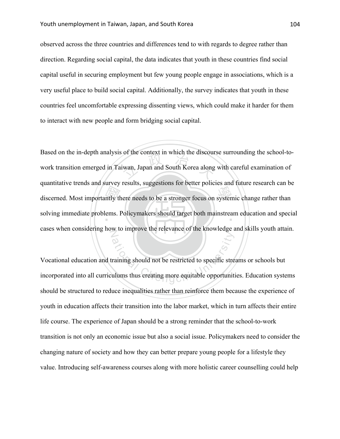observed across the three countries and differences tend to with regards to degree rather than direction. Regarding social capital, the data indicates that youth in these countries find social capital useful in securing employment but few young people engage in associations, which is a very useful place to build social capital. Additionally, the survey indicates that youth in these countries feel uncomfortable expressing dissenting views, which could make it harder for them to interact with new people and form bridging social capital.

discerned. Most importantly there needs to be a stronger focus on systemic change rather than<br>solving immediate problems. Policymakers should target both mainstream education and speci of the collext in which the discourse solving immediate problems. Policymakers should target both mainstream education and special cases when considering how to improve the relevance of the knowledge and skills youth attain. Based on the in-depth analysis of the context in which the discourse surrounding the school-towork transition emerged in Taiwan, Japan and South Korea along with careful examination of quantitative trends and survey results, suggestions for better policies and future research can be

The raining should not be restricted to specific streutums thus creating more equitable opportunities Vocational education and training should not be restricted to specific streams or schools but incorporated into all curriculums thus creating more equitable opportunities. Education systems should be structured to reduce inequalities rather than reinforce them because the experience of youth in education affects their transition into the labor market, which in turn affects their entire life course. The experience of Japan should be a strong reminder that the school-to-work transition is not only an economic issue but also a social issue. Policymakers need to consider the changing nature of society and how they can better prepare young people for a lifestyle they value. Introducing self-awareness courses along with more holistic career counselling could help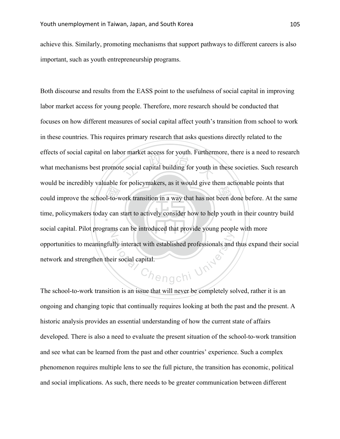achieve this. Similarly, promoting mechanisms that support pathways to different careers is also important, such as youth entrepreneurship programs.

example increasely a matter for points and way that has not been done before. At the same<br>time, policymakers today can start to actively consider how to help youth in their country build or market access for youth. Furthermore, time, policymakers today can start to actively consider how to help youth in their country build social capital. Pilot programs can be introduced that provide young people with more Chengchi University Both discourse and results from the EASS point to the usefulness of social capital in improving labor market access for young people. Therefore, more research should be conducted that focuses on how different measures of social capital affect youth's transition from school to work in these countries. This requires primary research that asks questions directly related to the effects of social capital on labor market access for youth. Furthermore, there is a need to research what mechanisms best promote social capital building for youth in these societies. Such research would be incredibly valuable for policymakers, as it would give them actionable points that opportunities to meaningfully interact with established professionals and thus expand their social network and strengthen their social capital.

The school-to-work transition is an issue that will never be completely solved, rather it is an ongoing and changing topic that continually requires looking at both the past and the present. A historic analysis provides an essential understanding of how the current state of affairs developed. There is also a need to evaluate the present situation of the school-to-work transition and see what can be learned from the past and other countries' experience. Such a complex phenomenon requires multiple lens to see the full picture, the transition has economic, political and social implications. As such, there needs to be greater communication between different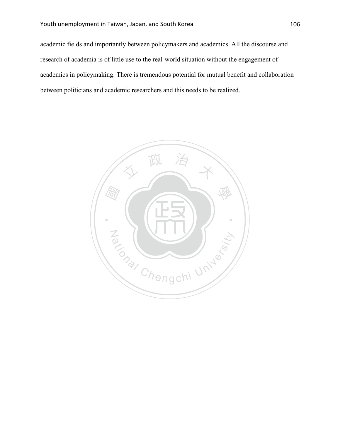academic fields and importantly between policymakers and academics. All the discourse and research of academia is of little use to the real-world situation without the engagement of academics in policymaking. There is tremendous potential for mutual benefit and collaboration between politicians and academic researchers and this needs to be realized.

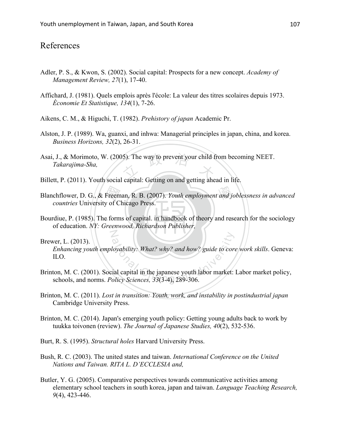# References

- Adler, P. S., & Kwon, S. (2002). Social capital: Prospects for a new concept. *Academy of Management Review, 27*(1), 17-40.
- Affichard, J. (1981). Quels emplois après l'école: La valeur des titres scolaires depuis 1973. *Économie Et Statistique, 134*(1), 7-26.
- Aikens, C. M., & Higuchi, T. (1982). *Prehistory of japan* Academic Pr.
- Alston, J. P. (1989). Wa, guanxi, and inhwa: Managerial principles in japan, china, and korea. *Business Horizons, 32*(2), 26-31.
- Asai, J., & Morimoto, W. (2005). The way to prevent your child from becoming NEET.<br>Takarajima-Sha,<br>Billott B. (2011). Youth social conital: Gotting on and gotting abord in life. *Takarajima-Sha,*
- Billett, P. (2011). Youth social capital: Getting on and getting ahead in life.
- Blanchflower, D. G., & Freeman, R. B. (2007). *Youth employment and joblessness in advanced*<br> *countries* University of Chicago Press.<br>
Bourdiue, P. (1985). The forms of capital. in handbook of theory and research for the *countries* University of Chicago Press.
- Bourdiue, P. (1985). The forms of capital. in handbook of theory and research for the sociology of education. *NY: Greenwood, Richardson Publisher,*

# Brewer, L. (2013).

Aloyability: What? why? and how? guide to core<br>
ial capital in the japanese youth labor market:<br>
olicy Sciences, 33(3-4), 289-306. *Enhancing youth employability: What? why? and how? guide to core work skills*. Geneva: ILO.

- Brinton, M. C. (2001). Social capital in the japanese youth labor market: Labor market policy, schools, and norms. *Policy Sciences, 33*(3-4), 289-306.
- Brinton, M. C. (2011). *Lost in transition: Youth, work, and instability in postindustrial japan* Cambridge University Press.
- Brinton, M. C. (2014). Japan's emerging youth policy: Getting young adults back to work by tuukka toivonen (review). *The Journal of Japanese Studies, 40*(2), 532-536.
- Burt, R. S. (1995). *Structural holes* Harvard University Press.

N

- Bush, R. C. (2003). The united states and taiwan. *International Conference on the United Nations and Taiwan. RITA L. D'ECCLESIA and,*
- Butler, Y. G. (2005). Comparative perspectives towards communicative activities among elementary school teachers in south korea, japan and taiwan. *Language Teaching Research, 9*(4), 423-446.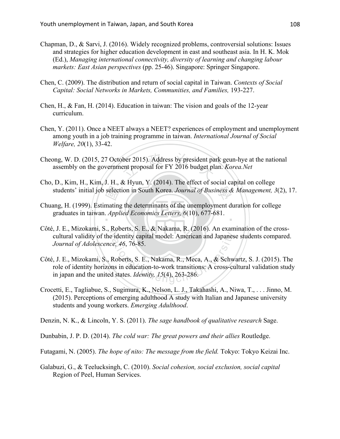- Chapman, D., & Sarvi, J. (2016). Widely recognized problems, controversial solutions: Issues and strategies for higher education development in east and southeast asia. In H. K. Mok (Ed.), *Managing international connectivity, diversity of learning and changing labour markets: East Asian perspectives* (pp. 25-46). Singapore: Springer Singapore.
- Chen, C. (2009). The distribution and return of social capital in Taiwan. *Contexts of Social Capital: Social Networks in Markets, Communities, and Families,* 193-227.
- Chen, H., & Fan, H. (2014). Education in taiwan: The vision and goals of the 12-year curriculum.
- Chen, Y. (2011). Once a NEET always a NEET? experiences of employment and unemployment among youth in a job training programme in taiwan. *International Journal of Social Welfare, 20*(1), 33-42.
- Cheong, W. D. (2015, 27 October 2015). Address by president park geun-hye at the national assembly on the government proposal for FY 2016 budget plan. *Korea.Net* assembly on the government proposal for FY 2016 budget plan. *Korea.Net*
- Cho, D., Kim, H., Kim, J. H., & Hyun, Y. (2014). The effect of social capital on college
- students' initial job selection in South Korea. *Journal of Business & Management, 3*(2), 17.<br>ang, H. (1999). Estimating the determinants of the unemployment duration for college<br>graduates in taiwan. *Applied Economics Let* ‧ Chuang, H. (1999). Estimating the determinants of the unemployment duration for college graduates in taiwan. *Applied Economics Letters, 6*(10), 677-681.
- N cultural validity of the identity capital model: American and Japanese students compared. Côté, J. E., Mizokami, S., Roberts, S. E., & Nakama, R. (2016). An examination of the cross-*Journal of Adolescence, 46*, 76-85.
- identity capital model: American and Japanes<br>e, 46, 76-85.<br>Roberts, S. E., Nakama, R., Meca, A., & Schw<br>ns in education-to-work transitions: A cross-cu<br>d states. *Identity*, 15(4), 263-286. Côté, J. E., Mizokami, S., Roberts, S. E., Nakama, R., Meca, A., & Schwartz, S. J. (2015). The role of identity horizons in education-to-work transitions: A cross-cultural validation study in japan and the united states. *Identity, 15*(4), 263-286.
- Crocetti, E., Tagliabue, S., Sugimura, K., Nelson, L. J., Takahashi, A., Niwa, T., . . . Jinno, M. (2015). Perceptions of emerging adulthood A study with Italian and Japanese university students and young workers. *Emerging Adulthood*.

Denzin, N. K., & Lincoln, Y. S. (2011). *The sage handbook of qualitative research* Sage.

- Dunbabin, J. P. D. (2014). *The cold war: The great powers and their allies* Routledge.
- Futagami, N. (2005). *The hope of nito: The message from the field.* Tokyo: Tokyo Keizai Inc.
- Galabuzi, G., & Teelucksingh, C. (2010). *Social cohesion, social exclusion, social capital* Region of Peel, Human Services.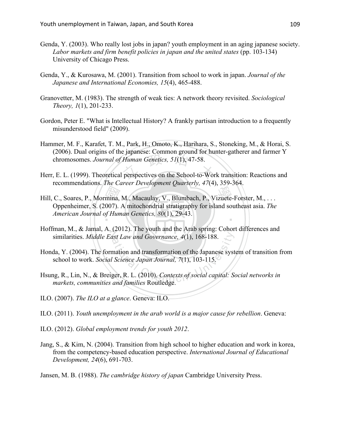- Genda, Y. (2003). Who really lost jobs in japan? youth employment in an aging japanese society. *Labor markets and firm benefit policies in japan and the united states* (pp. 103-134) University of Chicago Press.
- Genda, Y., & Kurosawa, M. (2001). Transition from school to work in japan. *Journal of the Japanese and International Economies, 15*(4), 465-488.
- Granovetter, M. (1983). The strength of weak ties: A network theory revisited. *Sociological Theory, 1*(1), 201-233.
- Gordon, Peter E. "What is Intellectual History? A frankly partisan introduction to a frequently misunderstood field" (2009).
- (2000). Dual origins of the Japanese. Common ground for hunter-gatherer and rathier 1<br>chromosomes. Journal of Human Genetics, 51(1), 47-58.<br>Herr, E. L. (1999). Theoretical perspectives on the School-to-Work transition: Rea Hammer, M. F., Karafet, T. M., Park, H., Omoto, K., Harihara, S., Stoneking, M., & Horai, S. (2006). Dual origins of the japanese: Common ground for hunter-gatherer and farmer Y chromosomes. *Journal of Human Genetics, 51*(1), 47-58.
- recommendations. *The Career Development Quarterly, 47*(4), 359-364.
- Hill, C., Soares, P., Mormina, M., Macaulay, V., Blumbach, P., Vizuete-Forster, M., ...<br>Oppenheimer, S. (2007). A mitochondrial stratigraphy for island southeast asia. The<br>American Journal of Human Genetics, 80(1), 29-43. ‧ Oppenheimer, S. (2007). A mitochondrial stratigraphy for island southeast asia. *The American Journal of Human Genetics, 80*(1), 29-43.
- N similarities. *Middle East Law and Governance, 4*(1), 168-188. Hoffman, M., & Jamal, A. (2012). The youth and the Arab spring: Cohort differences and
- ast Law and Governance, 4(1), 168-188.<br>
mation and transformation of the Japanese syst<br>
Science Japan Journal, 7(1), 103-115.<br>
ger, R. L. (2010). Contexts of social capital: Secand families Routledge Honda, Y. (2004). The formation and transformation of the Japanese system of transition from school to work. *Social Science Japan Journal, 7*(1), 103-115.
- Hsung, R., Lin, N., & Breiger, R. L. (2010). *Contexts of social capital: Social networks in markets, communities and families* Routledge.
- ILO. (2007). *The ILO at a glance*. Geneva: ILO.
- ILO. (2011). *Youth unemployment in the arab world is a major cause for rebellion*. Geneva:
- ILO. (2012). *Global employment trends for youth 2012*.
- Jang, S., & Kim, N. (2004). Transition from high school to higher education and work in korea, from the competency-based education perspective. *International Journal of Educational Development, 24*(6), 691-703.
- Jansen, M. B. (1988). *The cambridge history of japan* Cambridge University Press.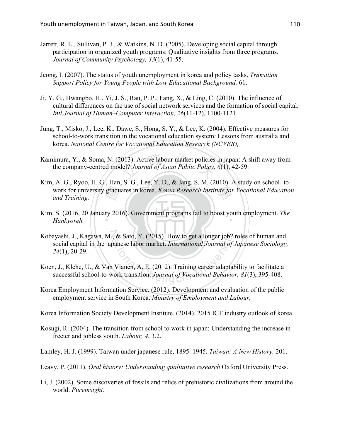- Jarrett, R. L., Sullivan, P. J., & Watkins, N. D. (2005). Developing social capital through participation in organized youth programs: Qualitative insights from three programs. *Journal of Community Psychology, 33*(1), 41-55.
- Jeong, I. (2007). The status of youth unemployment in korea and policy tasks. *Transition Support Policy for Young People with Low Educational Background,* 61.
- Ji, Y. G., Hwangbo, H., Yi, J. S., Rau, P. P., Fang, X., & Ling, C. (2010). The influence of cultural differences on the use of social network services and the formation of social capital. *Intl.Journal of Human–Computer Interaction, 26*(11-12), 1100-1121.
- Jung, T., Misko, J., Lee, K., Dawe, S., Hong, S. Y., & Lee, K. (2004). Effective measures for school-to-work transition in the vocational education system: Lessons from australia and korea. *National Centre for Vocational Education Research (NCVER),*
- Kamimura, Y., & Soma, N. (2013). Active labour market policies in japan: A shift away from<br>the company-centred model? Journal of Asian Public Policy, 6(1), 42-59. the company-centred model? *Journal of Asian Public Policy, 6*(1), 42-59.
- gradu<br>ry 201 work for university graduates in korea. *Korea Research Institute for Vocational Education*<br>and Training. Kim, A. G., Ryoo, H. G., Han, S. G., Lee, Y. D., & Jang, S. M. (2010). A study on school- to*and Training.*
- Kim, S. (2016, 20 January 2016). Government programs fail to boost youth employment. *The* **Harborah** *Hankyoreh.*
- Kobayashi, J., Kagawa, M., & Sato, Y. (2015). How to get a longer job? roles of human and **2. Sato, Y. (2015). How to get a longer job?**<br>panese labor market. *International Journal of* Jones (1995).<br>Vianen, A. E. (2012). Training career adaptativork transition. *Journal of Vocational Behavior*, social capital in the japanese labor market. *International Journal of Japanese Sociology, 24*(1), 20-29.
- Koen, J., Klehe, U., & Van Vianen, A. E. (2012). Training career adaptability to facilitate a successful school-to-work transition. *Journal of Vocational Behavior, 81*(3), 395-408.
- Korea Employment Information Service. (2012). Development and evaluation of the public employment service in South Korea. *Ministry of Employment and Labour,*

Korea Information Society Development Institute. (2014). 2015 ICT industry outlook of korea.

- Kosugi, R. (2004). The transition from school to work in japan: Understanding the increase in freeter and jobless youth. *Labour, 4*, 3.2.
- Lamley, H. J. (1999). Taiwan under japanese rule, 1895–1945. *Taiwan: A New History,* 201.
- Leavy, P. (2011). *Oral history: Understanding qualitative research* Oxford University Press.
- Li, J. (2002). Some discoveries of fossils and relics of prehistoric civilizations from around the world. *Pureinsight.*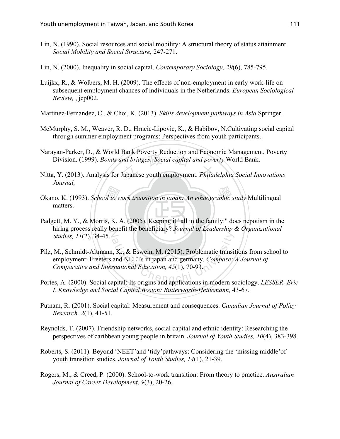- Lin, N. (1990). Social resources and social mobility: A structural theory of status attainment. *Social Mobility and Social Structure,* 247-271.
- Lin, N. (2000). Inequality in social capital. *Contemporary Sociology, 29*(6), 785-795.
- Luijkx, R., & Wolbers, M. H. (2009). The effects of non-employment in early work-life on subsequent employment chances of individuals in the Netherlands. *European Sociological Review,* , jcp002.
- Martinez-Fernandez, C., & Choi, K. (2013). *Skills development pathways in Asia* Springer.
- McMurphy, S. M., Weaver, R. D., Hrncic-Lipovic, K., & Habibov, N.Cultivating social capital through summer employment programs: Perspectives from youth participants.
- gan-ranker, D., & world Bank Foverty Reduction and Economic Management<br>Division. (1999). *Bonds and bridges: Social capital and poverty* World Bank.<br>L, Y. (2013). Analysis for Japanese youth employment. *Philadelphia Socia* Narayan-Parker, D., & World Bank Poverty Reduction and Economic Management, Poverty
- Nitta, Y. (2013). Analysis for Japanese youth employment. *Philadelphia Social Innovations Journal,*
- Okano, K. (1993). *School to work transition in japan: An ethnographic study* Multilingual<br>matters.<br>Padgett, M. Y., & Morris, K. A. (2005). Keeping it" all in the family:" does nepotism in the matters.
- Padgett, M. Y., & Morris, K. A. (2005). Keeping it" all in the family:" does nepotism in the hiring process really benefit the beneficiary? *Journal of Leadership & Organizational Studies* 11(2) 34-45 *Studies, 11*(2), 34-45.
- ational Chengchi University Chengchi University<br>and NEETs in japan and germany. Compare:<br>the Chengchi University Chenger Chengchi University<br>and Education, 45(1), 70-93. Pilz, M., Schmidt-Altmann, K., & Eswein, M. (2015). Problematic transitions from school to employment: Freeters and NEETs in japan and germany. *Compare: A Journal of Comparative and International Education, 45*(1), 70-93.
- Portes, A. (2000). Social capital: Its origins and applications in modern sociology. *LESSER, Eric L.Knowledge and Social Capital.Boston: Butterworth-Heinemann,* 43-67.
- Putnam, R. (2001). Social capital: Measurement and consequences. *Canadian Journal of Policy Research, 2*(1), 41-51.
- Reynolds, T. (2007). Friendship networks, social capital and ethnic identity: Researching the perspectives of caribbean young people in britain. *Journal of Youth Studies, 10*(4), 383-398.
- Roberts, S. (2011). Beyond 'NEET'and 'tidy'pathways: Considering the 'missing middle'of youth transition studies. *Journal of Youth Studies, 14*(1), 21-39.
- Rogers, M., & Creed, P. (2000). School-to-work transition: From theory to practice. *Australian Journal of Career Development, 9*(3), 20-26.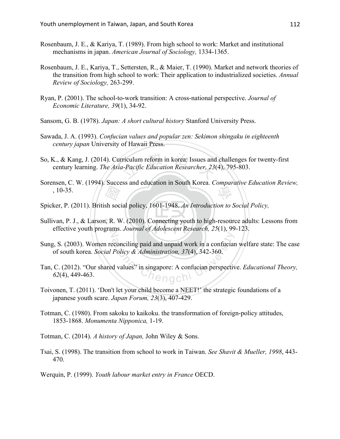- Rosenbaum, J. E., & Kariya, T. (1989). From high school to work: Market and institutional mechanisms in japan. *American Journal of Sociology,* 1334-1365.
- Rosenbaum, J. E., Kariya, T., Settersten, R., & Maier, T. (1990). Market and network theories of the transition from high school to work: Their application to industrialized societies. *Annual Review of Sociology,* 263-299.
- Ryan, P. (2001). The school-to-work transition: A cross-national perspective. *Journal of Economic Literature, 39*(1), 34-92.
- Sansom, G. B. (1978). *Japan: A short cultural history* Stanford University Press.
- Sawada, J. A. (1993). *Confucian values and popular zen: Sekimon shingaku in eighteenth century japan* University of Hawaii Press.
- So, K., & Kang, J. (2014). Curriculum reform in korea: Issues and challenges for twenty-first century learning. The Asia-Pacific Education Researcher, 23(4), 795-803. century learning. *The Asia-Pacific Education Researcher, 23*(4), 795-803.
- $\frac{d^2y}{dx^2}$ <br>sh soc<br> $y$ , R. W 學 Sorensen, C. W. (1994). Success and education in South Korea. *Comparative Education Review,*  , 10-35.
- Spicker, P. (2011). British social policy, 1601-1948. *An Introduction to Social Policy,*
- Sullivan, P. J., & Larson, R. W. (2010). Connecting youth to high-resource adults: Lessons from effective youth programs. *Journal of Adolescent Research*, 25(1), 99-123.
- Exercising paid and unpaid work in a confuciar<br>
Policy & Administration, 37(4), 342-360.<br>
d values" in singapore: A confucian perspective Sung, S. (2003). Women reconciling paid and unpaid work in a confucian welfare state: The case of south korea. *Social Policy & Administration, 37*(4), 342-360.
- Tan, C. (2012). "Our shared values" in singapore: A confucian perspective. *Educational Theory, 62*(4), 449-463.
- Toivonen, T. (2011). 'Don't let your child become a NEET!' the strategic foundations of a japanese youth scare. *Japan Forum, 23*(3), 407-429.
- Totman, C. (1980). From sakoku to kaikoku. the transformation of foreign-policy attitudes, 1853-1868. *Monumenta Nipponica,* 1-19.
- Totman, C. (2014). *A history of Japan,* John Wiley & Sons.
- Tsai, S. (1998). The transition from school to work in Taiwan. *See Shavit & Mueller, 1998*, 443- 470.
- Werquin, P. (1999). *Youth labour market entry in France* OECD.